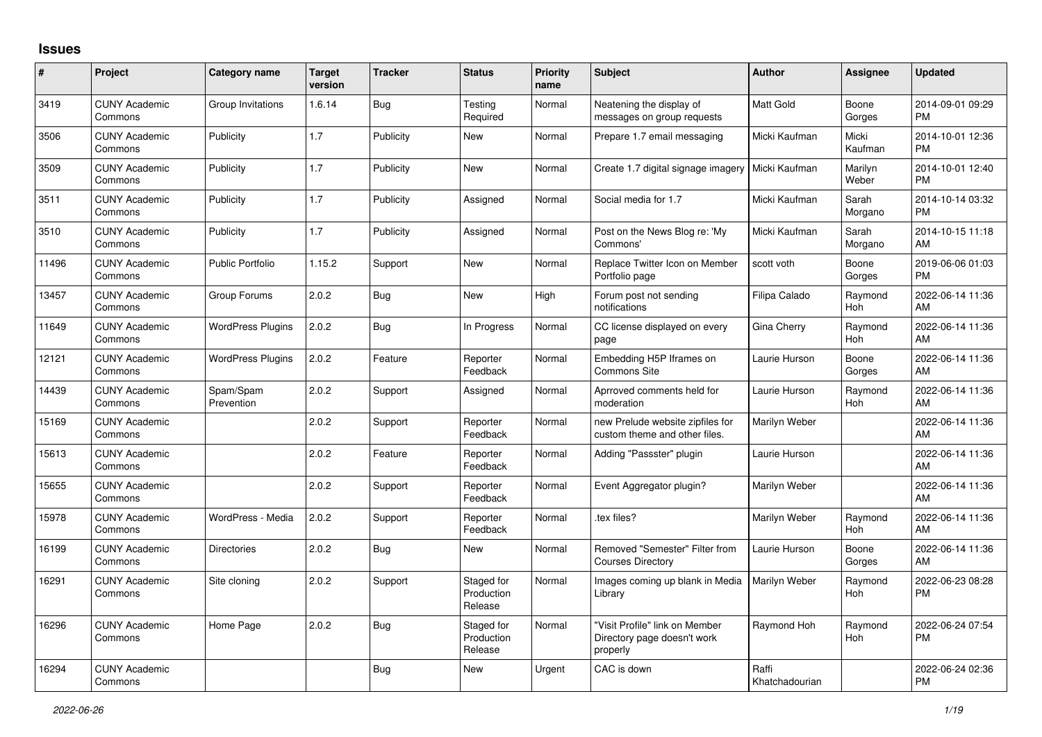## **Issues**

| #     | Project                         | <b>Category name</b>     | <b>Target</b><br>version | <b>Tracker</b> | <b>Status</b>                       | <b>Priority</b><br>name | <b>Subject</b>                                                            | <b>Author</b>           | <b>Assignee</b>  | <b>Updated</b>                |
|-------|---------------------------------|--------------------------|--------------------------|----------------|-------------------------------------|-------------------------|---------------------------------------------------------------------------|-------------------------|------------------|-------------------------------|
| 3419  | <b>CUNY Academic</b><br>Commons | Group Invitations        | 1.6.14                   | Bug            | Testing<br>Required                 | Normal                  | Neatening the display of<br>messages on group requests                    | <b>Matt Gold</b>        | Boone<br>Gorges  | 2014-09-01 09:29<br><b>PM</b> |
| 3506  | <b>CUNY Academic</b><br>Commons | Publicity                | 1.7                      | Publicity      | New                                 | Normal                  | Prepare 1.7 email messaging                                               | Micki Kaufman           | Micki<br>Kaufman | 2014-10-01 12:36<br><b>PM</b> |
| 3509  | <b>CUNY Academic</b><br>Commons | Publicity                | 1.7                      | Publicity      | <b>New</b>                          | Normal                  | Create 1.7 digital signage imagery                                        | Micki Kaufman           | Marilyn<br>Weber | 2014-10-01 12:40<br><b>PM</b> |
| 3511  | <b>CUNY Academic</b><br>Commons | Publicity                | 1.7                      | Publicity      | Assigned                            | Normal                  | Social media for 1.7                                                      | Micki Kaufman           | Sarah<br>Morgano | 2014-10-14 03:32<br><b>PM</b> |
| 3510  | <b>CUNY Academic</b><br>Commons | Publicity                | 1.7                      | Publicity      | Assigned                            | Normal                  | Post on the News Blog re: 'My<br>Commons'                                 | Micki Kaufman           | Sarah<br>Morgano | 2014-10-15 11:18<br>AM        |
| 11496 | <b>CUNY Academic</b><br>Commons | <b>Public Portfolio</b>  | 1.15.2                   | Support        | <b>New</b>                          | Normal                  | Replace Twitter Icon on Member<br>Portfolio page                          | scott voth              | Boone<br>Gorges  | 2019-06-06 01:03<br><b>PM</b> |
| 13457 | <b>CUNY Academic</b><br>Commons | Group Forums             | 2.0.2                    | Bug            | <b>New</b>                          | High                    | Forum post not sending<br>notifications                                   | Filipa Calado           | Raymond<br>Hoh   | 2022-06-14 11:36<br>AM        |
| 11649 | <b>CUNY Academic</b><br>Commons | <b>WordPress Plugins</b> | 2.0.2                    | <b>Bug</b>     | In Progress                         | Normal                  | CC license displayed on every<br>page                                     | Gina Cherry             | Raymond<br>Hoh   | 2022-06-14 11:36<br>AM        |
| 12121 | <b>CUNY Academic</b><br>Commons | <b>WordPress Plugins</b> | 2.0.2                    | Feature        | Reporter<br>Feedback                | Normal                  | Embedding H5P Iframes on<br>Commons Site                                  | Laurie Hurson           | Boone<br>Gorges  | 2022-06-14 11:36<br>AM        |
| 14439 | <b>CUNY Academic</b><br>Commons | Spam/Spam<br>Prevention  | 2.0.2                    | Support        | Assigned                            | Normal                  | Aprroved comments held for<br>moderation                                  | Laurie Hurson           | Raymond<br>Hoh   | 2022-06-14 11:36<br>AM        |
| 15169 | <b>CUNY Academic</b><br>Commons |                          | 2.0.2                    | Support        | Reporter<br>Feedback                | Normal                  | new Prelude website zipfiles for<br>custom theme and other files.         | Marilyn Weber           |                  | 2022-06-14 11:36<br>AM        |
| 15613 | <b>CUNY Academic</b><br>Commons |                          | 2.0.2                    | Feature        | Reporter<br>Feedback                | Normal                  | Adding "Passster" plugin                                                  | Laurie Hurson           |                  | 2022-06-14 11:36<br>AM        |
| 15655 | <b>CUNY Academic</b><br>Commons |                          | 2.0.2                    | Support        | Reporter<br>Feedback                | Normal                  | Event Aggregator plugin?                                                  | Marilyn Weber           |                  | 2022-06-14 11:36<br>AM        |
| 15978 | <b>CUNY Academic</b><br>Commons | WordPress - Media        | 2.0.2                    | Support        | Reporter<br>Feedback                | Normal                  | tex files?                                                                | Marilyn Weber           | Raymond<br>Hoh   | 2022-06-14 11:36<br>AM        |
| 16199 | <b>CUNY Academic</b><br>Commons | <b>Directories</b>       | 2.0.2                    | Bug            | New                                 | Normal                  | Removed "Semester" Filter from<br><b>Courses Directory</b>                | Laurie Hurson           | Boone<br>Gorges  | 2022-06-14 11:36<br>AM        |
| 16291 | <b>CUNY Academic</b><br>Commons | Site cloning             | 2.0.2                    | Support        | Staged for<br>Production<br>Release | Normal                  | Images coming up blank in Media<br>Library                                | Marilyn Weber           | Raymond<br>Hoh   | 2022-06-23 08:28<br>PM        |
| 16296 | <b>CUNY Academic</b><br>Commons | Home Page                | 2.0.2                    | Bug            | Staged for<br>Production<br>Release | Normal                  | "Visit Profile" link on Member<br>Directory page doesn't work<br>properly | Raymond Hoh             | Raymond<br>Hoh   | 2022-06-24 07:54<br><b>PM</b> |
| 16294 | <b>CUNY Academic</b><br>Commons |                          |                          | Bug            | <b>New</b>                          | Urgent                  | CAC is down                                                               | Raffi<br>Khatchadourian |                  | 2022-06-24 02:36<br><b>PM</b> |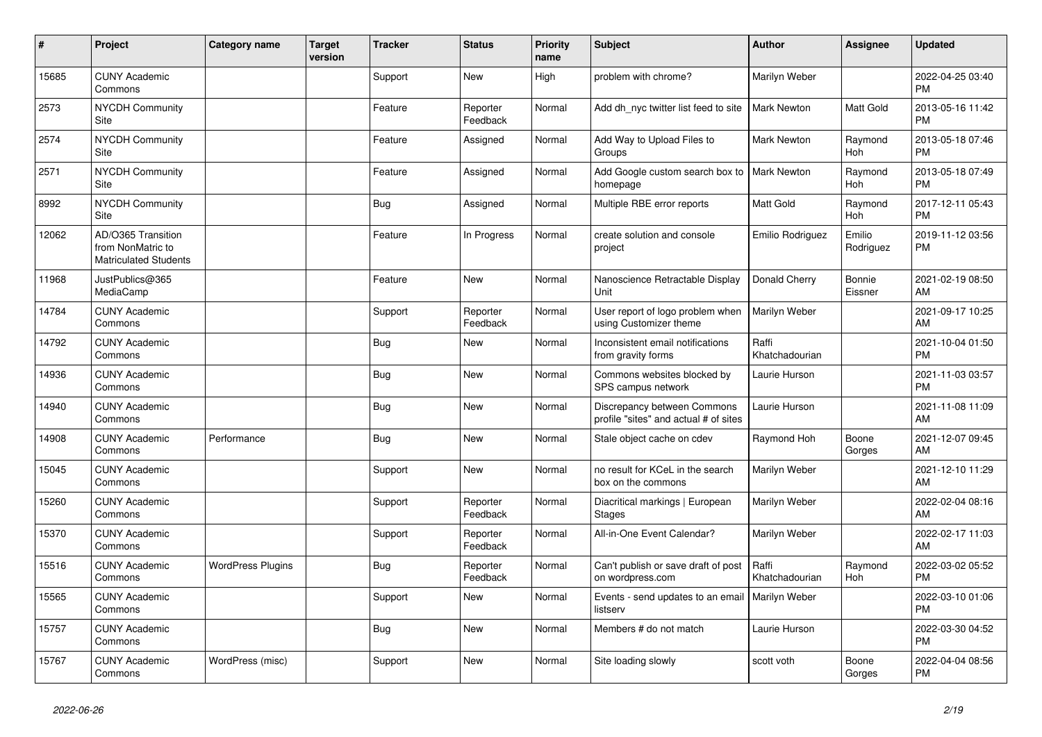| #     | Project                                                                 | <b>Category name</b>     | <b>Target</b><br>version | <b>Tracker</b> | <b>Status</b>        | <b>Priority</b><br>name | <b>Subject</b>                                                       | <b>Author</b>           | <b>Assignee</b>       | <b>Updated</b>                |
|-------|-------------------------------------------------------------------------|--------------------------|--------------------------|----------------|----------------------|-------------------------|----------------------------------------------------------------------|-------------------------|-----------------------|-------------------------------|
| 15685 | <b>CUNY Academic</b><br>Commons                                         |                          |                          | Support        | <b>New</b>           | High                    | problem with chrome?                                                 | Marilyn Weber           |                       | 2022-04-25 03:40<br><b>PM</b> |
| 2573  | <b>NYCDH Community</b><br>Site                                          |                          |                          | Feature        | Reporter<br>Feedback | Normal                  | Add dh nyc twitter list feed to site                                 | <b>Mark Newton</b>      | Matt Gold             | 2013-05-16 11:42<br><b>PM</b> |
| 2574  | <b>NYCDH Community</b><br>Site                                          |                          |                          | Feature        | Assigned             | Normal                  | Add Way to Upload Files to<br>Groups                                 | <b>Mark Newton</b>      | Raymond<br><b>Hoh</b> | 2013-05-18 07:46<br><b>PM</b> |
| 2571  | <b>NYCDH Community</b><br>Site                                          |                          |                          | Feature        | Assigned             | Normal                  | Add Google custom search box to<br>homepage                          | <b>Mark Newton</b>      | Raymond<br><b>Hoh</b> | 2013-05-18 07:49<br><b>PM</b> |
| 8992  | <b>NYCDH Community</b><br>Site                                          |                          |                          | Bug            | Assigned             | Normal                  | Multiple RBE error reports                                           | Matt Gold               | Raymond<br>Hoh        | 2017-12-11 05:43<br><b>PM</b> |
| 12062 | AD/O365 Transition<br>from NonMatric to<br><b>Matriculated Students</b> |                          |                          | Feature        | In Progress          | Normal                  | create solution and console<br>project                               | Emilio Rodriguez        | Emilio<br>Rodriguez   | 2019-11-12 03:56<br><b>PM</b> |
| 11968 | JustPublics@365<br>MediaCamp                                            |                          |                          | Feature        | <b>New</b>           | Normal                  | Nanoscience Retractable Display<br>Unit                              | Donald Cherry           | Bonnie<br>Eissner     | 2021-02-19 08:50<br>AM        |
| 14784 | <b>CUNY Academic</b><br>Commons                                         |                          |                          | Support        | Reporter<br>Feedback | Normal                  | User report of logo problem when<br>using Customizer theme           | Marilyn Weber           |                       | 2021-09-17 10:25<br>AM        |
| 14792 | <b>CUNY Academic</b><br>Commons                                         |                          |                          | <b>Bug</b>     | New                  | Normal                  | Inconsistent email notifications<br>from gravity forms               | Raffi<br>Khatchadourian |                       | 2021-10-04 01:50<br><b>PM</b> |
| 14936 | <b>CUNY Academic</b><br>Commons                                         |                          |                          | <b>Bug</b>     | <b>New</b>           | Normal                  | Commons websites blocked by<br>SPS campus network                    | Laurie Hurson           |                       | 2021-11-03 03:57<br><b>PM</b> |
| 14940 | <b>CUNY Academic</b><br>Commons                                         |                          |                          | <b>Bug</b>     | <b>New</b>           | Normal                  | Discrepancy between Commons<br>profile "sites" and actual # of sites | Laurie Hurson           |                       | 2021-11-08 11:09<br>AM        |
| 14908 | <b>CUNY Academic</b><br>Commons                                         | Performance              |                          | <b>Bug</b>     | <b>New</b>           | Normal                  | Stale object cache on cdev                                           | Raymond Hoh             | Boone<br>Gorges       | 2021-12-07 09:45<br>AM        |
| 15045 | <b>CUNY Academic</b><br>Commons                                         |                          |                          | Support        | <b>New</b>           | Normal                  | no result for KCeL in the search<br>box on the commons               | Marilyn Weber           |                       | 2021-12-10 11:29<br>AM        |
| 15260 | <b>CUNY Academic</b><br>Commons                                         |                          |                          | Support        | Reporter<br>Feedback | Normal                  | Diacritical markings   European<br><b>Stages</b>                     | Marilyn Weber           |                       | 2022-02-04 08:16<br>AM        |
| 15370 | <b>CUNY Academic</b><br>Commons                                         |                          |                          | Support        | Reporter<br>Feedback | Normal                  | All-in-One Event Calendar?                                           | Marilyn Weber           |                       | 2022-02-17 11:03<br>AM        |
| 15516 | <b>CUNY Academic</b><br>Commons                                         | <b>WordPress Plugins</b> |                          | <b>Bug</b>     | Reporter<br>Feedback | Normal                  | Can't publish or save draft of post<br>on wordpress.com              | Raffi<br>Khatchadourian | Raymond<br>Hoh        | 2022-03-02 05:52<br><b>PM</b> |
| 15565 | <b>CUNY Academic</b><br>Commons                                         |                          |                          | Support        | <b>New</b>           | Normal                  | Events - send updates to an email<br>listserv                        | Marilyn Weber           |                       | 2022-03-10 01:06<br><b>PM</b> |
| 15757 | <b>CUNY Academic</b><br>Commons                                         |                          |                          | <b>Bug</b>     | <b>New</b>           | Normal                  | Members # do not match                                               | Laurie Hurson           |                       | 2022-03-30 04:52<br><b>PM</b> |
| 15767 | <b>CUNY Academic</b><br>Commons                                         | WordPress (misc)         |                          | Support        | <b>New</b>           | Normal                  | Site loading slowly                                                  | scott voth              | Boone<br>Gorges       | 2022-04-04 08:56<br><b>PM</b> |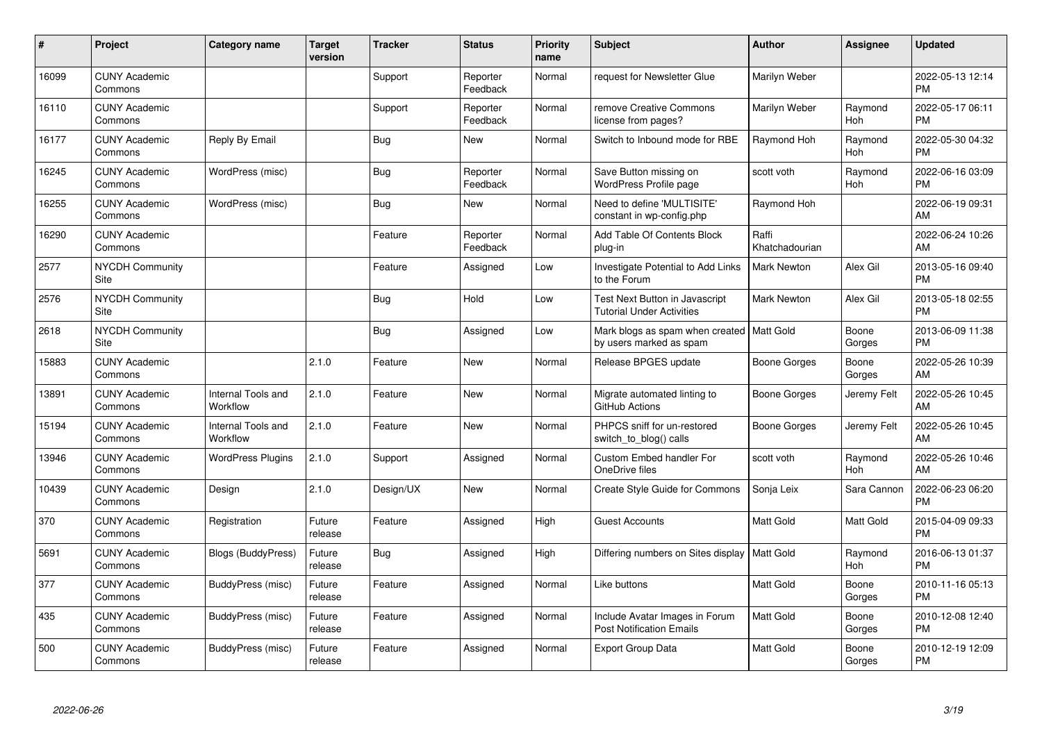| #     | Project                               | <b>Category name</b>           | <b>Target</b><br>version | <b>Tracker</b> | <b>Status</b>        | <b>Priority</b><br>name | <b>Subject</b>                                                         | <b>Author</b>           | <b>Assignee</b> | <b>Updated</b>                |
|-------|---------------------------------------|--------------------------------|--------------------------|----------------|----------------------|-------------------------|------------------------------------------------------------------------|-------------------------|-----------------|-------------------------------|
| 16099 | <b>CUNY Academic</b><br>Commons       |                                |                          | Support        | Reporter<br>Feedback | Normal                  | request for Newsletter Glue                                            | Marilyn Weber           |                 | 2022-05-13 12:14<br><b>PM</b> |
| 16110 | <b>CUNY Academic</b><br>Commons       |                                |                          | Support        | Reporter<br>Feedback | Normal                  | remove Creative Commons<br>license from pages?                         | Marilyn Weber           | Raymond<br>Hoh  | 2022-05-17 06:11<br><b>PM</b> |
| 16177 | <b>CUNY Academic</b><br>Commons       | Reply By Email                 |                          | Bug            | New                  | Normal                  | Switch to Inbound mode for RBE                                         | Raymond Hoh             | Raymond<br>Hoh  | 2022-05-30 04:32<br><b>PM</b> |
| 16245 | <b>CUNY Academic</b><br>Commons       | WordPress (misc)               |                          | Bug            | Reporter<br>Feedback | Normal                  | Save Button missing on<br><b>WordPress Profile page</b>                | scott voth              | Raymond<br>Hoh  | 2022-06-16 03:09<br><b>PM</b> |
| 16255 | <b>CUNY Academic</b><br>Commons       | WordPress (misc)               |                          | Bug            | New                  | Normal                  | Need to define 'MULTISITE'<br>constant in wp-config.php                | Raymond Hoh             |                 | 2022-06-19 09:31<br>AM        |
| 16290 | <b>CUNY Academic</b><br>Commons       |                                |                          | Feature        | Reporter<br>Feedback | Normal                  | Add Table Of Contents Block<br>plug-in                                 | Raffi<br>Khatchadourian |                 | 2022-06-24 10:26<br>AM        |
| 2577  | <b>NYCDH Community</b><br>Site        |                                |                          | Feature        | Assigned             | Low                     | Investigate Potential to Add Links<br>to the Forum                     | <b>Mark Newton</b>      | Alex Gil        | 2013-05-16 09:40<br><b>PM</b> |
| 2576  | <b>NYCDH Community</b><br><b>Site</b> |                                |                          | <b>Bug</b>     | Hold                 | Low                     | Test Next Button in Javascript<br><b>Tutorial Under Activities</b>     | <b>Mark Newton</b>      | Alex Gil        | 2013-05-18 02:55<br><b>PM</b> |
| 2618  | <b>NYCDH Community</b><br>Site        |                                |                          | Bug            | Assigned             | Low                     | Mark blogs as spam when created   Matt Gold<br>by users marked as spam |                         | Boone<br>Gorges | 2013-06-09 11:38<br><b>PM</b> |
| 15883 | <b>CUNY Academic</b><br>Commons       |                                | 2.1.0                    | Feature        | New                  | Normal                  | Release BPGES update                                                   | Boone Gorges            | Boone<br>Gorges | 2022-05-26 10:39<br>AM        |
| 13891 | <b>CUNY Academic</b><br>Commons       | Internal Tools and<br>Workflow | 2.1.0                    | Feature        | <b>New</b>           | Normal                  | Migrate automated linting to<br>GitHub Actions                         | Boone Gorges            | Jeremy Felt     | 2022-05-26 10:45<br>AM        |
| 15194 | <b>CUNY Academic</b><br>Commons       | Internal Tools and<br>Workflow | 2.1.0                    | Feature        | <b>New</b>           | Normal                  | PHPCS sniff for un-restored<br>switch to blog() calls                  | Boone Gorges            | Jeremy Felt     | 2022-05-26 10:45<br>AM        |
| 13946 | <b>CUNY Academic</b><br>Commons       | <b>WordPress Plugins</b>       | 2.1.0                    | Support        | Assigned             | Normal                  | Custom Embed handler For<br>OneDrive files                             | scott voth              | Raymond<br>Hoh  | 2022-05-26 10:46<br>AM        |
| 10439 | <b>CUNY Academic</b><br>Commons       | Design                         | 2.1.0                    | Design/UX      | <b>New</b>           | Normal                  | Create Style Guide for Commons                                         | Sonja Leix              | Sara Cannon     | 2022-06-23 06:20<br><b>PM</b> |
| 370   | <b>CUNY Academic</b><br>Commons       | Registration                   | Future<br>release        | Feature        | Assigned             | High                    | <b>Guest Accounts</b>                                                  | Matt Gold               | Matt Gold       | 2015-04-09 09:33<br><b>PM</b> |
| 5691  | <b>CUNY Academic</b><br>Commons       | Blogs (BuddyPress)             | Future<br>release        | Bug            | Assigned             | High                    | Differing numbers on Sites display                                     | Matt Gold               | Raymond<br>Hoh  | 2016-06-13 01:37<br><b>PM</b> |
| 377   | <b>CUNY Academic</b><br>Commons       | BuddyPress (misc)              | Future<br>release        | Feature        | Assigned             | Normal                  | Like buttons                                                           | Matt Gold               | Boone<br>Gorges | 2010-11-16 05:13<br><b>PM</b> |
| 435   | <b>CUNY Academic</b><br>Commons       | BuddyPress (misc)              | Future<br>release        | Feature        | Assigned             | Normal                  | Include Avatar Images in Forum<br><b>Post Notification Emails</b>      | Matt Gold               | Boone<br>Gorges | 2010-12-08 12:40<br><b>PM</b> |
| 500   | <b>CUNY Academic</b><br>Commons       | BuddyPress (misc)              | Future<br>release        | Feature        | Assigned             | Normal                  | <b>Export Group Data</b>                                               | <b>Matt Gold</b>        | Boone<br>Gorges | 2010-12-19 12:09<br>PM        |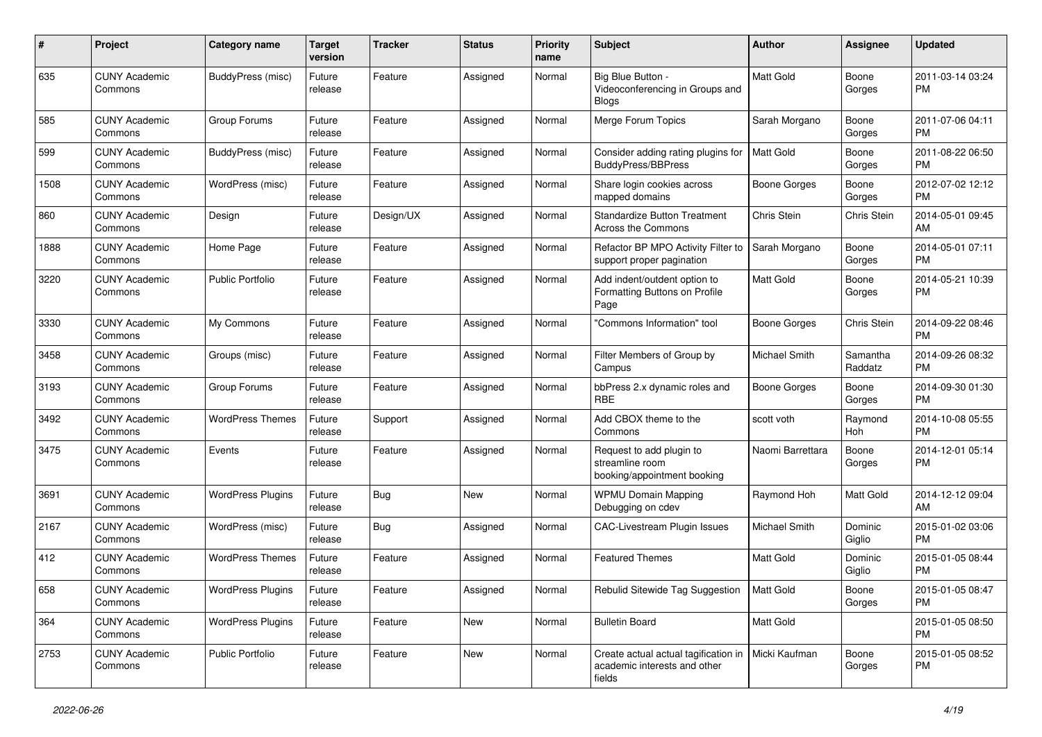| #    | Project                         | <b>Category name</b>     | <b>Target</b><br>version | <b>Tracker</b> | <b>Status</b> | <b>Priority</b><br>name | <b>Subject</b>                                                                   | Author              | Assignee            | <b>Updated</b>                |
|------|---------------------------------|--------------------------|--------------------------|----------------|---------------|-------------------------|----------------------------------------------------------------------------------|---------------------|---------------------|-------------------------------|
| 635  | <b>CUNY Academic</b><br>Commons | BuddyPress (misc)        | Future<br>release        | Feature        | Assigned      | Normal                  | Big Blue Button -<br>Videoconferencing in Groups and<br>Blogs                    | Matt Gold           | Boone<br>Gorges     | 2011-03-14 03:24<br><b>PM</b> |
| 585  | <b>CUNY Academic</b><br>Commons | Group Forums             | Future<br>release        | Feature        | Assigned      | Normal                  | Merge Forum Topics                                                               | Sarah Morgano       | Boone<br>Gorges     | 2011-07-06 04:11<br><b>PM</b> |
| 599  | <b>CUNY Academic</b><br>Commons | BuddyPress (misc)        | Future<br>release        | Feature        | Assigned      | Normal                  | Consider adding rating plugins for<br><b>BuddyPress/BBPress</b>                  | Matt Gold           | Boone<br>Gorges     | 2011-08-22 06:50<br><b>PM</b> |
| 1508 | <b>CUNY Academic</b><br>Commons | WordPress (misc)         | Future<br>release        | Feature        | Assigned      | Normal                  | Share login cookies across<br>mapped domains                                     | Boone Gorges        | Boone<br>Gorges     | 2012-07-02 12:12<br><b>PM</b> |
| 860  | <b>CUNY Academic</b><br>Commons | Design                   | Future<br>release        | Design/UX      | Assigned      | Normal                  | <b>Standardize Button Treatment</b><br><b>Across the Commons</b>                 | Chris Stein         | Chris Stein         | 2014-05-01 09:45<br>AM        |
| 1888 | <b>CUNY Academic</b><br>Commons | Home Page                | Future<br>release        | Feature        | Assigned      | Normal                  | Refactor BP MPO Activity Filter to<br>support proper pagination                  | Sarah Morgano       | Boone<br>Gorges     | 2014-05-01 07:11<br><b>PM</b> |
| 3220 | <b>CUNY Academic</b><br>Commons | <b>Public Portfolio</b>  | Future<br>release        | Feature        | Assigned      | Normal                  | Add indent/outdent option to<br>Formatting Buttons on Profile<br>Page            | Matt Gold           | Boone<br>Gorges     | 2014-05-21 10:39<br><b>PM</b> |
| 3330 | <b>CUNY Academic</b><br>Commons | My Commons               | Future<br>release        | Feature        | Assigned      | Normal                  | "Commons Information" tool                                                       | <b>Boone Gorges</b> | Chris Stein         | 2014-09-22 08:46<br><b>PM</b> |
| 3458 | <b>CUNY Academic</b><br>Commons | Groups (misc)            | Future<br>release        | Feature        | Assigned      | Normal                  | Filter Members of Group by<br>Campus                                             | Michael Smith       | Samantha<br>Raddatz | 2014-09-26 08:32<br><b>PM</b> |
| 3193 | <b>CUNY Academic</b><br>Commons | Group Forums             | Future<br>release        | Feature        | Assigned      | Normal                  | bbPress 2.x dynamic roles and<br><b>RBE</b>                                      | <b>Boone Gorges</b> | Boone<br>Gorges     | 2014-09-30 01:30<br><b>PM</b> |
| 3492 | <b>CUNY Academic</b><br>Commons | <b>WordPress Themes</b>  | Future<br>release        | Support        | Assigned      | Normal                  | Add CBOX theme to the<br>Commons                                                 | scott voth          | Raymond<br>Hoh      | 2014-10-08 05:55<br><b>PM</b> |
| 3475 | <b>CUNY Academic</b><br>Commons | Events                   | Future<br>release        | Feature        | Assigned      | Normal                  | Request to add plugin to<br>streamline room<br>booking/appointment booking       | Naomi Barrettara    | Boone<br>Gorges     | 2014-12-01 05:14<br><b>PM</b> |
| 3691 | <b>CUNY Academic</b><br>Commons | <b>WordPress Plugins</b> | Future<br>release        | Bug            | New           | Normal                  | <b>WPMU Domain Mapping</b><br>Debugging on cdev                                  | Raymond Hoh         | Matt Gold           | 2014-12-12 09:04<br>AM        |
| 2167 | <b>CUNY Academic</b><br>Commons | WordPress (misc)         | Future<br>release        | Bug            | Assigned      | Normal                  | <b>CAC-Livestream Plugin Issues</b>                                              | Michael Smith       | Dominic<br>Giglio   | 2015-01-02 03:06<br><b>PM</b> |
| 412  | <b>CUNY Academic</b><br>Commons | <b>WordPress Themes</b>  | Future<br>release        | Feature        | Assigned      | Normal                  | <b>Featured Themes</b>                                                           | Matt Gold           | Dominic<br>Giglio   | 2015-01-05 08:44<br>PM        |
| 658  | <b>CUNY Academic</b><br>Commons | <b>WordPress Plugins</b> | Future<br>release        | Feature        | Assigned      | Normal                  | Rebulid Sitewide Tag Suggestion   Matt Gold                                      |                     | Boone<br>Gorges     | 2015-01-05 08:47<br><b>PM</b> |
| 364  | <b>CUNY Academic</b><br>Commons | <b>WordPress Plugins</b> | Future<br>release        | Feature        | New           | Normal                  | <b>Bulletin Board</b>                                                            | Matt Gold           |                     | 2015-01-05 08:50<br>PM        |
| 2753 | <b>CUNY Academic</b><br>Commons | Public Portfolio         | Future<br>release        | Feature        | New           | Normal                  | Create actual actual tagification in  <br>academic interests and other<br>fields | Micki Kaufman       | Boone<br>Gorges     | 2015-01-05 08:52<br><b>PM</b> |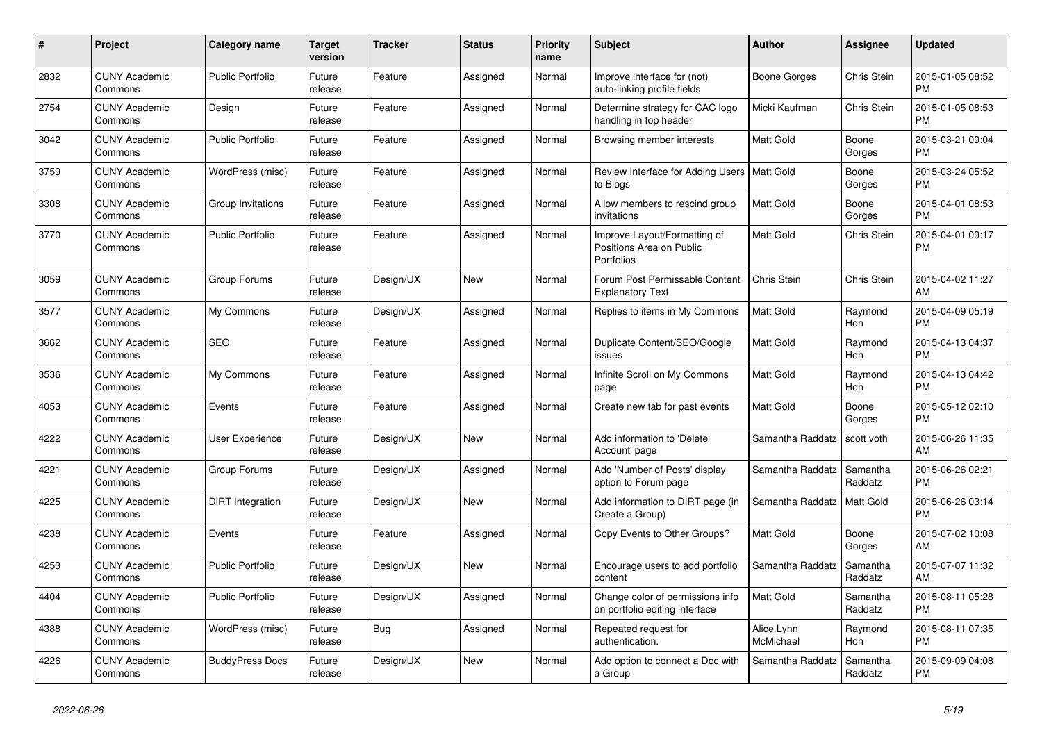| $\pmb{\#}$ | <b>Project</b>                  | Category name           | <b>Target</b><br>version | <b>Tracker</b> | <b>Status</b> | <b>Priority</b><br>name | <b>Subject</b>                                                                | <b>Author</b>           | <b>Assignee</b>       | <b>Updated</b>                |
|------------|---------------------------------|-------------------------|--------------------------|----------------|---------------|-------------------------|-------------------------------------------------------------------------------|-------------------------|-----------------------|-------------------------------|
| 2832       | <b>CUNY Academic</b><br>Commons | <b>Public Portfolio</b> | Future<br>release        | Feature        | Assigned      | Normal                  | Improve interface for (not)<br>auto-linking profile fields                    | Boone Gorges            | Chris Stein           | 2015-01-05 08:52<br><b>PM</b> |
| 2754       | <b>CUNY Academic</b><br>Commons | Design                  | Future<br>release        | Feature        | Assigned      | Normal                  | Determine strategy for CAC logo<br>handling in top header                     | Micki Kaufman           | Chris Stein           | 2015-01-05 08:53<br><b>PM</b> |
| 3042       | <b>CUNY Academic</b><br>Commons | <b>Public Portfolio</b> | Future<br>release        | Feature        | Assigned      | Normal                  | Browsing member interests                                                     | Matt Gold               | Boone<br>Gorges       | 2015-03-21 09:04<br><b>PM</b> |
| 3759       | <b>CUNY Academic</b><br>Commons | WordPress (misc)        | Future<br>release        | Feature        | Assigned      | Normal                  | Review Interface for Adding Users   Matt Gold<br>to Blogs                     |                         | Boone<br>Gorges       | 2015-03-24 05:52<br><b>PM</b> |
| 3308       | <b>CUNY Academic</b><br>Commons | Group Invitations       | Future<br>release        | Feature        | Assigned      | Normal                  | Allow members to rescind group<br>invitations                                 | Matt Gold               | Boone<br>Gorges       | 2015-04-01 08:53<br><b>PM</b> |
| 3770       | <b>CUNY Academic</b><br>Commons | <b>Public Portfolio</b> | Future<br>release        | Feature        | Assigned      | Normal                  | Improve Layout/Formatting of<br>Positions Area on Public<br><b>Portfolios</b> | Matt Gold               | Chris Stein           | 2015-04-01 09:17<br><b>PM</b> |
| 3059       | <b>CUNY Academic</b><br>Commons | Group Forums            | Future<br>release        | Design/UX      | <b>New</b>    | Normal                  | Forum Post Permissable Content<br><b>Explanatory Text</b>                     | Chris Stein             | Chris Stein           | 2015-04-02 11:27<br>AM        |
| 3577       | <b>CUNY Academic</b><br>Commons | My Commons              | Future<br>release        | Design/UX      | Assigned      | Normal                  | Replies to items in My Commons                                                | <b>Matt Gold</b>        | Raymond<br><b>Hoh</b> | 2015-04-09 05:19<br><b>PM</b> |
| 3662       | <b>CUNY Academic</b><br>Commons | <b>SEO</b>              | Future<br>release        | Feature        | Assigned      | Normal                  | Duplicate Content/SEO/Google<br>issues                                        | Matt Gold               | Raymond<br>Hoh        | 2015-04-13 04:37<br><b>PM</b> |
| 3536       | <b>CUNY Academic</b><br>Commons | My Commons              | Future<br>release        | Feature        | Assigned      | Normal                  | Infinite Scroll on My Commons<br>page                                         | Matt Gold               | Raymond<br>Hoh        | 2015-04-13 04:42<br><b>PM</b> |
| 4053       | <b>CUNY Academic</b><br>Commons | Events                  | Future<br>release        | Feature        | Assigned      | Normal                  | Create new tab for past events                                                | Matt Gold               | Boone<br>Gorges       | 2015-05-12 02:10<br><b>PM</b> |
| 4222       | <b>CUNY Academic</b><br>Commons | User Experience         | Future<br>release        | Design/UX      | New           | Normal                  | Add information to 'Delete<br>Account' page                                   | Samantha Raddatz        | scott voth            | 2015-06-26 11:35<br>AM        |
| 4221       | <b>CUNY Academic</b><br>Commons | Group Forums            | Future<br>release        | Design/UX      | Assigned      | Normal                  | Add 'Number of Posts' display<br>option to Forum page                         | Samantha Raddatz        | Samantha<br>Raddatz   | 2015-06-26 02:21<br><b>PM</b> |
| 4225       | <b>CUNY Academic</b><br>Commons | DiRT Integration        | Future<br>release        | Design/UX      | <b>New</b>    | Normal                  | Add information to DIRT page (in<br>Create a Group)                           | Samantha Raddatz        | <b>Matt Gold</b>      | 2015-06-26 03:14<br><b>PM</b> |
| 4238       | <b>CUNY Academic</b><br>Commons | Events                  | Future<br>release        | Feature        | Assigned      | Normal                  | Copy Events to Other Groups?                                                  | Matt Gold               | Boone<br>Gorges       | 2015-07-02 10:08<br>AM        |
| 4253       | <b>CUNY Academic</b><br>Commons | <b>Public Portfolio</b> | Future<br>release        | Design/UX      | <b>New</b>    | Normal                  | Encourage users to add portfolio<br>content                                   | Samantha Raddatz        | Samantha<br>Raddatz   | 2015-07-07 11:32<br>AM        |
| 4404       | <b>CUNY Academic</b><br>Commons | <b>Public Portfolio</b> | Future<br>release        | Design/UX      | Assigned      | Normal                  | Change color of permissions info<br>on portfolio editing interface            | Matt Gold               | Samantha<br>Raddatz   | 2015-08-11 05:28<br><b>PM</b> |
| 4388       | <b>CUNY Academic</b><br>Commons | WordPress (misc)        | Future<br>release        | Bug            | Assigned      | Normal                  | Repeated request for<br>authentication.                                       | Alice.Lynn<br>McMichael | Raymond<br>Hoh        | 2015-08-11 07:35<br><b>PM</b> |
| 4226       | <b>CUNY Academic</b><br>Commons | <b>BuddyPress Docs</b>  | Future<br>release        | Design/UX      | <b>New</b>    | Normal                  | Add option to connect a Doc with<br>a Group                                   | Samantha Raddatz        | Samantha<br>Raddatz   | 2015-09-09 04:08<br><b>PM</b> |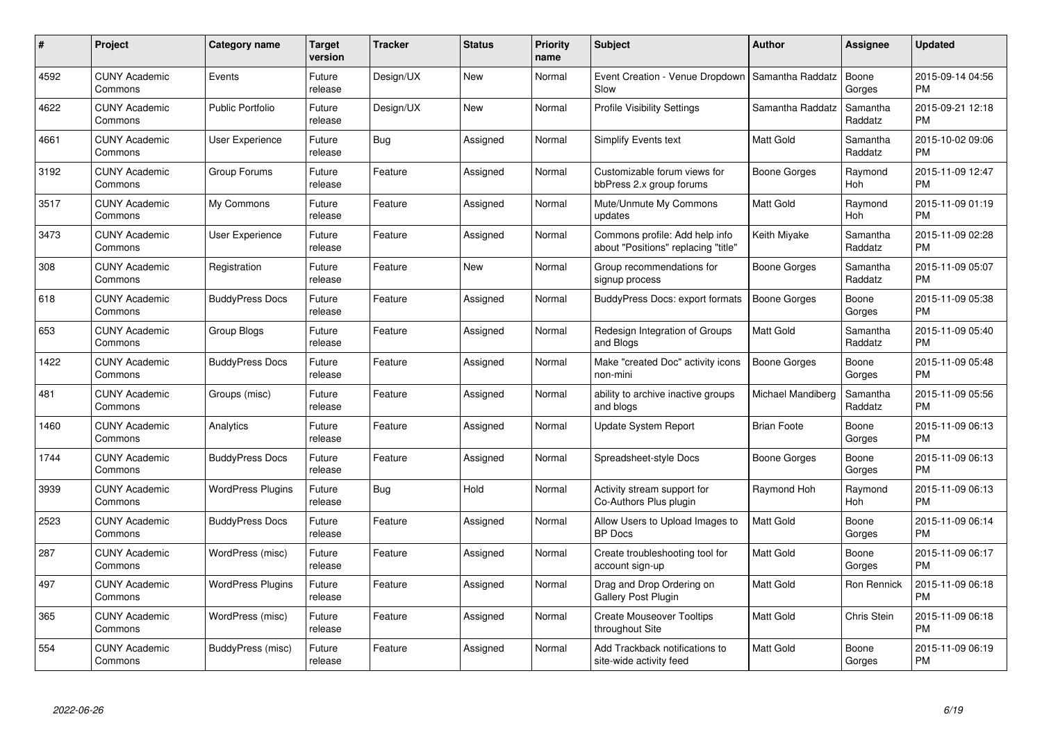| $\#$ | Project                         | <b>Category name</b>     | <b>Target</b><br>version | <b>Tracker</b> | <b>Status</b> | <b>Priority</b><br>name | <b>Subject</b>                                                        | Author              | <b>Assignee</b>       | <b>Updated</b>                |
|------|---------------------------------|--------------------------|--------------------------|----------------|---------------|-------------------------|-----------------------------------------------------------------------|---------------------|-----------------------|-------------------------------|
| 4592 | <b>CUNY Academic</b><br>Commons | Events                   | Future<br>release        | Design/UX      | <b>New</b>    | Normal                  | Event Creation - Venue Dropdown<br>Slow                               | Samantha Raddatz    | Boone<br>Gorges       | 2015-09-14 04:56<br><b>PM</b> |
| 4622 | <b>CUNY Academic</b><br>Commons | <b>Public Portfolio</b>  | Future<br>release        | Design/UX      | <b>New</b>    | Normal                  | <b>Profile Visibility Settings</b>                                    | Samantha Raddatz    | Samantha<br>Raddatz   | 2015-09-21 12:18<br><b>PM</b> |
| 4661 | <b>CUNY Academic</b><br>Commons | <b>User Experience</b>   | Future<br>release        | <b>Bug</b>     | Assigned      | Normal                  | Simplify Events text                                                  | <b>Matt Gold</b>    | Samantha<br>Raddatz   | 2015-10-02 09:06<br><b>PM</b> |
| 3192 | <b>CUNY Academic</b><br>Commons | Group Forums             | Future<br>release        | Feature        | Assigned      | Normal                  | Customizable forum views for<br>bbPress 2.x group forums              | Boone Gorges        | Raymond<br><b>Hoh</b> | 2015-11-09 12:47<br><b>PM</b> |
| 3517 | <b>CUNY Academic</b><br>Commons | My Commons               | Future<br>release        | Feature        | Assigned      | Normal                  | Mute/Unmute My Commons<br>updates                                     | Matt Gold           | Raymond<br>Hoh        | 2015-11-09 01:19<br><b>PM</b> |
| 3473 | <b>CUNY Academic</b><br>Commons | <b>User Experience</b>   | Future<br>release        | Feature        | Assigned      | Normal                  | Commons profile: Add help info<br>about "Positions" replacing "title" | Keith Miyake        | Samantha<br>Raddatz   | 2015-11-09 02:28<br><b>PM</b> |
| 308  | <b>CUNY Academic</b><br>Commons | Registration             | Future<br>release        | Feature        | <b>New</b>    | Normal                  | Group recommendations for<br>signup process                           | Boone Gorges        | Samantha<br>Raddatz   | 2015-11-09 05:07<br><b>PM</b> |
| 618  | <b>CUNY Academic</b><br>Commons | <b>BuddyPress Docs</b>   | Future<br>release        | Feature        | Assigned      | Normal                  | BuddyPress Docs: export formats                                       | <b>Boone Gorges</b> | Boone<br>Gorges       | 2015-11-09 05:38<br><b>PM</b> |
| 653  | <b>CUNY Academic</b><br>Commons | <b>Group Blogs</b>       | Future<br>release        | Feature        | Assigned      | Normal                  | Redesign Integration of Groups<br>and Blogs                           | <b>Matt Gold</b>    | Samantha<br>Raddatz   | 2015-11-09 05:40<br><b>PM</b> |
| 1422 | <b>CUNY Academic</b><br>Commons | <b>BuddyPress Docs</b>   | Future<br>release        | Feature        | Assigned      | Normal                  | Make "created Doc" activity icons<br>non-mini                         | Boone Gorges        | Boone<br>Gorges       | 2015-11-09 05:48<br><b>PM</b> |
| 481  | <b>CUNY Academic</b><br>Commons | Groups (misc)            | Future<br>release        | Feature        | Assigned      | Normal                  | ability to archive inactive groups<br>and blogs                       | Michael Mandiberg   | Samantha<br>Raddatz   | 2015-11-09 05:56<br><b>PM</b> |
| 1460 | <b>CUNY Academic</b><br>Commons | Analytics                | Future<br>release        | Feature        | Assigned      | Normal                  | Update System Report                                                  | <b>Brian Foote</b>  | Boone<br>Gorges       | 2015-11-09 06:13<br><b>PM</b> |
| 1744 | <b>CUNY Academic</b><br>Commons | <b>BuddyPress Docs</b>   | Future<br>release        | Feature        | Assigned      | Normal                  | Spreadsheet-style Docs                                                | Boone Gorges        | Boone<br>Gorges       | 2015-11-09 06:13<br><b>PM</b> |
| 3939 | <b>CUNY Academic</b><br>Commons | <b>WordPress Plugins</b> | Future<br>release        | <b>Bug</b>     | Hold          | Normal                  | Activity stream support for<br>Co-Authors Plus plugin                 | Raymond Hoh         | Raymond<br>Hoh        | 2015-11-09 06:13<br><b>PM</b> |
| 2523 | <b>CUNY Academic</b><br>Commons | <b>BuddyPress Docs</b>   | Future<br>release        | Feature        | Assigned      | Normal                  | Allow Users to Upload Images to<br><b>BP</b> Docs                     | Matt Gold           | Boone<br>Gorges       | 2015-11-09 06:14<br><b>PM</b> |
| 287  | <b>CUNY Academic</b><br>Commons | WordPress (misc)         | Future<br>release        | Feature        | Assigned      | Normal                  | Create troubleshooting tool for<br>account sign-up                    | Matt Gold           | Boone<br>Gorges       | 2015-11-09 06:17<br><b>PM</b> |
| 497  | <b>CUNY Academic</b><br>Commons | <b>WordPress Plugins</b> | Future<br>release        | Feature        | Assigned      | Normal                  | Drag and Drop Ordering on<br>Gallery Post Plugin                      | <b>Matt Gold</b>    | Ron Rennick           | 2015-11-09 06:18<br><b>PM</b> |
| 365  | <b>CUNY Academic</b><br>Commons | WordPress (misc)         | Future<br>release        | Feature        | Assigned      | Normal                  | <b>Create Mouseover Tooltips</b><br>throughout Site                   | <b>Matt Gold</b>    | Chris Stein           | 2015-11-09 06:18<br><b>PM</b> |
| 554  | <b>CUNY Academic</b><br>Commons | BuddyPress (misc)        | Future<br>release        | Feature        | Assigned      | Normal                  | Add Trackback notifications to<br>site-wide activity feed             | <b>Matt Gold</b>    | Boone<br>Gorges       | 2015-11-09 06:19<br>PM        |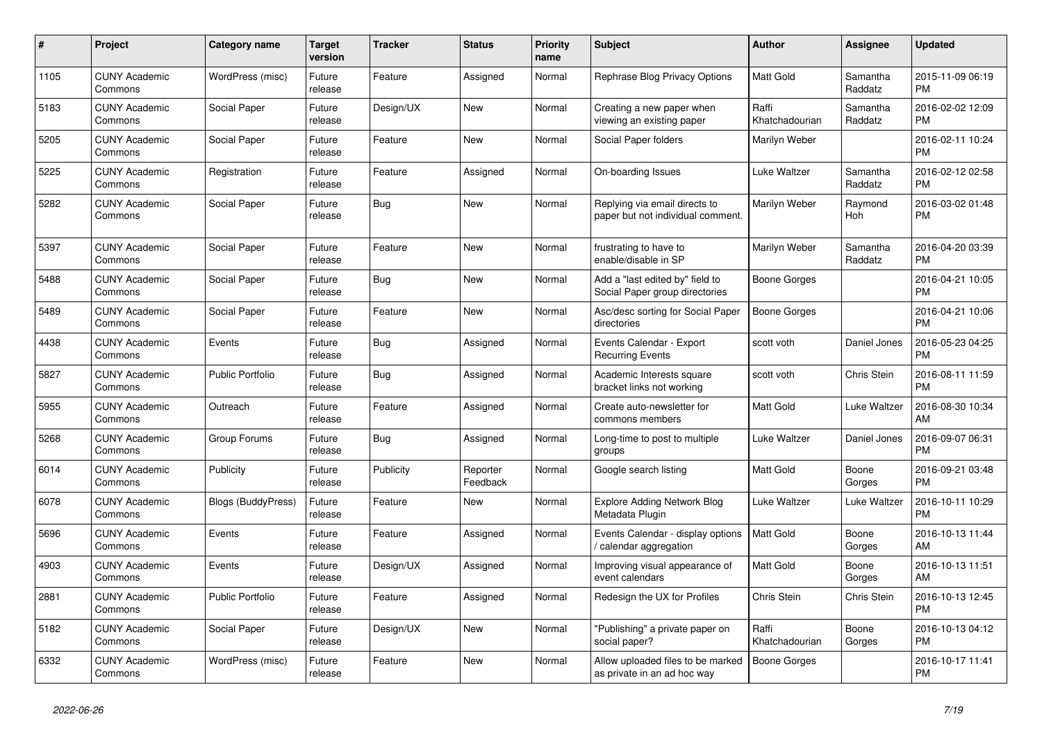| $\pmb{\#}$ | <b>Project</b>                  | Category name           | <b>Target</b><br>version | <b>Tracker</b> | <b>Status</b>        | <b>Priority</b><br>name | <b>Subject</b>                                                     | <b>Author</b>           | <b>Assignee</b>     | <b>Updated</b>                |
|------------|---------------------------------|-------------------------|--------------------------|----------------|----------------------|-------------------------|--------------------------------------------------------------------|-------------------------|---------------------|-------------------------------|
| 1105       | <b>CUNY Academic</b><br>Commons | WordPress (misc)        | Future<br>release        | Feature        | Assigned             | Normal                  | Rephrase Blog Privacy Options                                      | <b>Matt Gold</b>        | Samantha<br>Raddatz | 2015-11-09 06:19<br><b>PM</b> |
| 5183       | <b>CUNY Academic</b><br>Commons | Social Paper            | Future<br>release        | Design/UX      | <b>New</b>           | Normal                  | Creating a new paper when<br>viewing an existing paper             | Raffi<br>Khatchadourian | Samantha<br>Raddatz | 2016-02-02 12:09<br><b>PM</b> |
| 5205       | <b>CUNY Academic</b><br>Commons | Social Paper            | Future<br>release        | Feature        | <b>New</b>           | Normal                  | Social Paper folders                                               | Marilyn Weber           |                     | 2016-02-11 10:24<br><b>PM</b> |
| 5225       | <b>CUNY Academic</b><br>Commons | Registration            | Future<br>release        | Feature        | Assigned             | Normal                  | On-boarding Issues                                                 | Luke Waltzer            | Samantha<br>Raddatz | 2016-02-12 02:58<br><b>PM</b> |
| 5282       | <b>CUNY Academic</b><br>Commons | Social Paper            | Future<br>release        | Bug            | <b>New</b>           | Normal                  | Replying via email directs to<br>paper but not individual comment. | Marilyn Weber           | Raymond<br>Hoh      | 2016-03-02 01:48<br><b>PM</b> |
| 5397       | <b>CUNY Academic</b><br>Commons | Social Paper            | Future<br>release        | Feature        | <b>New</b>           | Normal                  | frustrating to have to<br>enable/disable in SP                     | Marilyn Weber           | Samantha<br>Raddatz | 2016-04-20 03:39<br><b>PM</b> |
| 5488       | <b>CUNY Academic</b><br>Commons | Social Paper            | Future<br>release        | <b>Bug</b>     | <b>New</b>           | Normal                  | Add a "last edited by" field to<br>Social Paper group directories  | Boone Gorges            |                     | 2016-04-21 10:05<br><b>PM</b> |
| 5489       | <b>CUNY Academic</b><br>Commons | Social Paper            | Future<br>release        | Feature        | <b>New</b>           | Normal                  | Asc/desc sorting for Social Paper<br>directories                   | <b>Boone Gorges</b>     |                     | 2016-04-21 10:06<br><b>PM</b> |
| 4438       | <b>CUNY Academic</b><br>Commons | Events                  | Future<br>release        | Bug            | Assigned             | Normal                  | Events Calendar - Export<br><b>Recurring Events</b>                | scott voth              | Daniel Jones        | 2016-05-23 04:25<br><b>PM</b> |
| 5827       | <b>CUNY Academic</b><br>Commons | <b>Public Portfolio</b> | Future<br>release        | <b>Bug</b>     | Assigned             | Normal                  | Academic Interests square<br>bracket links not working             | scott voth              | Chris Stein         | 2016-08-11 11:59<br><b>PM</b> |
| 5955       | <b>CUNY Academic</b><br>Commons | Outreach                | Future<br>release        | Feature        | Assigned             | Normal                  | Create auto-newsletter for<br>commons members                      | <b>Matt Gold</b>        | Luke Waltzer        | 2016-08-30 10:34<br>AM        |
| 5268       | <b>CUNY Academic</b><br>Commons | Group Forums            | Future<br>release        | Bug            | Assigned             | Normal                  | Long-time to post to multiple<br>groups                            | Luke Waltzer            | Daniel Jones        | 2016-09-07 06:31<br><b>PM</b> |
| 6014       | <b>CUNY Academic</b><br>Commons | Publicity               | Future<br>release        | Publicity      | Reporter<br>Feedback | Normal                  | Google search listing                                              | <b>Matt Gold</b>        | Boone<br>Gorges     | 2016-09-21 03:48<br><b>PM</b> |
| 6078       | <b>CUNY Academic</b><br>Commons | Blogs (BuddyPress)      | Future<br>release        | Feature        | New                  | Normal                  | <b>Explore Adding Network Blog</b><br>Metadata Plugin              | Luke Waltzer            | Luke Waltzer        | 2016-10-11 10:29<br><b>PM</b> |
| 5696       | <b>CUNY Academic</b><br>Commons | Events                  | Future<br>release        | Feature        | Assigned             | Normal                  | Events Calendar - display options<br>calendar aggregation          | <b>Matt Gold</b>        | Boone<br>Gorges     | 2016-10-13 11:44<br>AM        |
| 4903       | <b>CUNY Academic</b><br>Commons | Events                  | Future<br>release        | Design/UX      | Assigned             | Normal                  | Improving visual appearance of<br>event calendars                  | Matt Gold               | Boone<br>Gorges     | 2016-10-13 11:51<br>AM        |
| 2881       | <b>CUNY Academic</b><br>Commons | <b>Public Portfolio</b> | Future<br>release        | Feature        | Assigned             | Normal                  | Redesign the UX for Profiles                                       | Chris Stein             | Chris Stein         | 2016-10-13 12:45<br><b>PM</b> |
| 5182       | <b>CUNY Academic</b><br>Commons | Social Paper            | Future<br>release        | Design/UX      | <b>New</b>           | Normal                  | "Publishing" a private paper on<br>social paper?                   | Raffi<br>Khatchadourian | Boone<br>Gorges     | 2016-10-13 04:12<br><b>PM</b> |
| 6332       | <b>CUNY Academic</b><br>Commons | WordPress (misc)        | Future<br>release        | Feature        | <b>New</b>           | Normal                  | Allow uploaded files to be marked<br>as private in an ad hoc way   | <b>Boone Gorges</b>     |                     | 2016-10-17 11:41<br><b>PM</b> |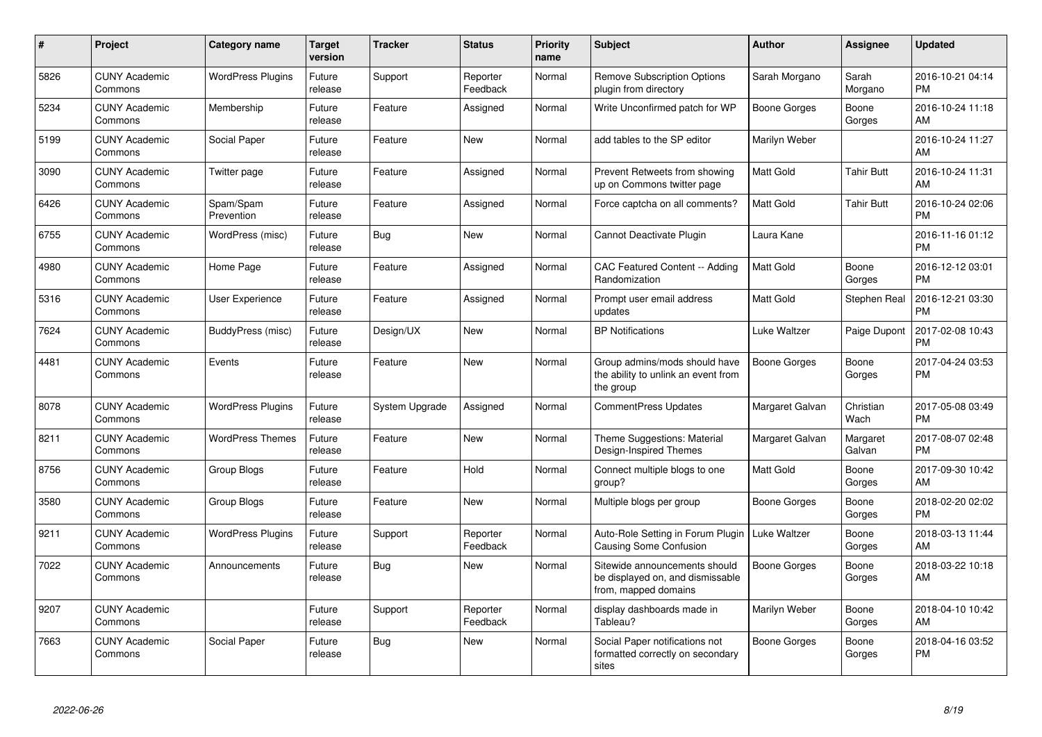| $\#$ | <b>Project</b>                  | Category name            | <b>Target</b><br>version | <b>Tracker</b> | <b>Status</b>        | <b>Priority</b><br>name | <b>Subject</b>                                                                            | Author              | Assignee           | <b>Updated</b>                |
|------|---------------------------------|--------------------------|--------------------------|----------------|----------------------|-------------------------|-------------------------------------------------------------------------------------------|---------------------|--------------------|-------------------------------|
| 5826 | <b>CUNY Academic</b><br>Commons | <b>WordPress Plugins</b> | Future<br>release        | Support        | Reporter<br>Feedback | Normal                  | <b>Remove Subscription Options</b><br>plugin from directory                               | Sarah Morgano       | Sarah<br>Morgano   | 2016-10-21 04:14<br><b>PM</b> |
| 5234 | <b>CUNY Academic</b><br>Commons | Membership               | Future<br>release        | Feature        | Assigned             | Normal                  | Write Unconfirmed patch for WP                                                            | <b>Boone Gorges</b> | Boone<br>Gorges    | 2016-10-24 11:18<br>AM        |
| 5199 | <b>CUNY Academic</b><br>Commons | Social Paper             | Future<br>release        | Feature        | <b>New</b>           | Normal                  | add tables to the SP editor                                                               | Marilyn Weber       |                    | 2016-10-24 11:27<br>AM        |
| 3090 | <b>CUNY Academic</b><br>Commons | Twitter page             | Future<br>release        | Feature        | Assigned             | Normal                  | Prevent Retweets from showing<br>up on Commons twitter page                               | <b>Matt Gold</b>    | <b>Tahir Butt</b>  | 2016-10-24 11:31<br>AM        |
| 6426 | <b>CUNY Academic</b><br>Commons | Spam/Spam<br>Prevention  | Future<br>release        | Feature        | Assigned             | Normal                  | Force captcha on all comments?                                                            | <b>Matt Gold</b>    | <b>Tahir Butt</b>  | 2016-10-24 02:06<br><b>PM</b> |
| 6755 | <b>CUNY Academic</b><br>Commons | WordPress (misc)         | Future<br>release        | Bug            | <b>New</b>           | Normal                  | Cannot Deactivate Plugin                                                                  | Laura Kane          |                    | 2016-11-16 01:12<br><b>PM</b> |
| 4980 | <b>CUNY Academic</b><br>Commons | Home Page                | Future<br>release        | Feature        | Assigned             | Normal                  | CAC Featured Content -- Adding<br>Randomization                                           | <b>Matt Gold</b>    | Boone<br>Gorges    | 2016-12-12 03:01<br><b>PM</b> |
| 5316 | <b>CUNY Academic</b><br>Commons | <b>User Experience</b>   | Future<br>release        | Feature        | Assigned             | Normal                  | Prompt user email address<br>updates                                                      | <b>Matt Gold</b>    | Stephen Real       | 2016-12-21 03:30<br><b>PM</b> |
| 7624 | <b>CUNY Academic</b><br>Commons | BuddyPress (misc)        | Future<br>release        | Design/UX      | <b>New</b>           | Normal                  | <b>BP Notifications</b>                                                                   | Luke Waltzer        | Paige Dupont       | 2017-02-08 10:43<br><b>PM</b> |
| 4481 | <b>CUNY Academic</b><br>Commons | Events                   | Future<br>release        | Feature        | <b>New</b>           | Normal                  | Group admins/mods should have<br>the ability to unlink an event from<br>the group         | Boone Gorges        | Boone<br>Gorges    | 2017-04-24 03:53<br><b>PM</b> |
| 8078 | <b>CUNY Academic</b><br>Commons | <b>WordPress Plugins</b> | Future<br>release        | System Upgrade | Assigned             | Normal                  | <b>CommentPress Updates</b>                                                               | Margaret Galvan     | Christian<br>Wach  | 2017-05-08 03:49<br><b>PM</b> |
| 8211 | <b>CUNY Academic</b><br>Commons | <b>WordPress Themes</b>  | Future<br>release        | Feature        | <b>New</b>           | Normal                  | Theme Suggestions: Material<br>Design-Inspired Themes                                     | Margaret Galvan     | Margaret<br>Galvan | 2017-08-07 02:48<br><b>PM</b> |
| 8756 | <b>CUNY Academic</b><br>Commons | Group Blogs              | Future<br>release        | Feature        | Hold                 | Normal                  | Connect multiple blogs to one<br>group?                                                   | <b>Matt Gold</b>    | Boone<br>Gorges    | 2017-09-30 10:42<br>AM        |
| 3580 | <b>CUNY Academic</b><br>Commons | Group Blogs              | Future<br>release        | Feature        | <b>New</b>           | Normal                  | Multiple blogs per group                                                                  | Boone Gorges        | Boone<br>Gorges    | 2018-02-20 02:02<br><b>PM</b> |
| 9211 | <b>CUNY Academic</b><br>Commons | <b>WordPress Plugins</b> | Future<br>release        | Support        | Reporter<br>Feedback | Normal                  | Auto-Role Setting in Forum Plugin<br><b>Causing Some Confusion</b>                        | Luke Waltzer        | Boone<br>Gorges    | 2018-03-13 11:44<br>AM        |
| 7022 | <b>CUNY Academic</b><br>Commons | Announcements            | Future<br>release        | Bug            | <b>New</b>           | Normal                  | Sitewide announcements should<br>be displayed on, and dismissable<br>from, mapped domains | <b>Boone Gorges</b> | Boone<br>Gorges    | 2018-03-22 10:18<br>AM        |
| 9207 | <b>CUNY Academic</b><br>Commons |                          | Future<br>release        | Support        | Reporter<br>Feedback | Normal                  | display dashboards made in<br>Tableau?                                                    | Marilyn Weber       | Boone<br>Gorges    | 2018-04-10 10:42<br>AM        |
| 7663 | <b>CUNY Academic</b><br>Commons | Social Paper             | Future<br>release        | <b>Bug</b>     | New                  | Normal                  | Social Paper notifications not<br>formatted correctly on secondary<br>sites               | <b>Boone Gorges</b> | Boone<br>Gorges    | 2018-04-16 03:52<br><b>PM</b> |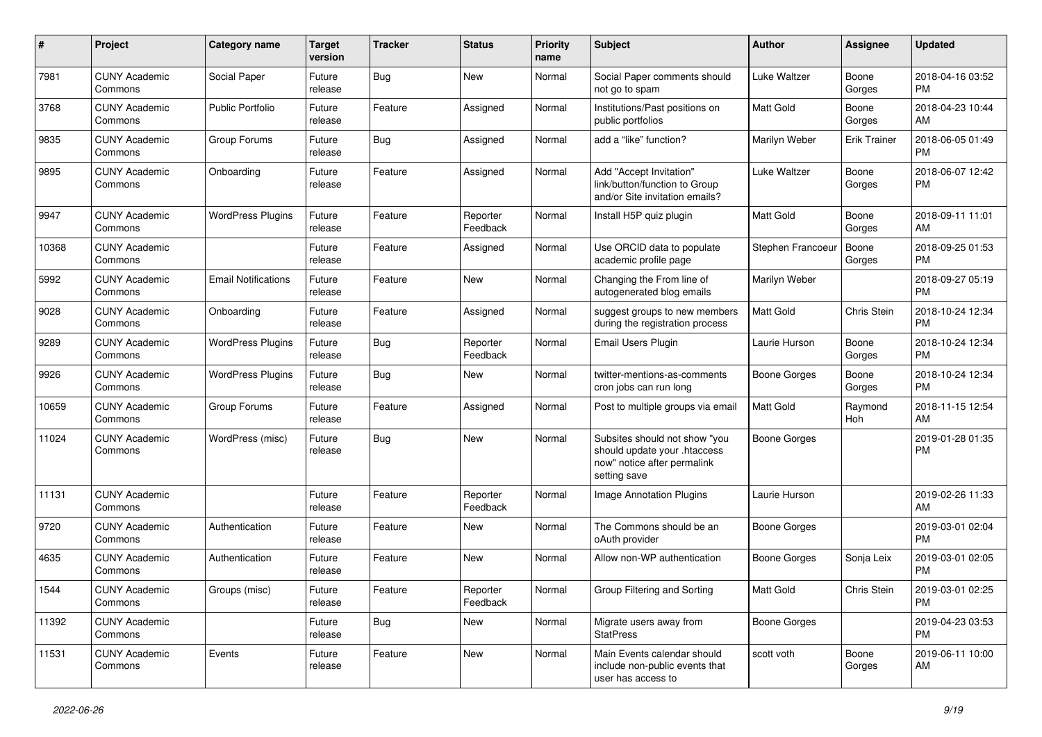| #     | Project                         | <b>Category name</b>       | Target<br>version | <b>Tracker</b> | <b>Status</b>        | <b>Priority</b><br>name | <b>Subject</b>                                                                                               | <b>Author</b>       | Assignee            | <b>Updated</b>                |
|-------|---------------------------------|----------------------------|-------------------|----------------|----------------------|-------------------------|--------------------------------------------------------------------------------------------------------------|---------------------|---------------------|-------------------------------|
| 7981  | <b>CUNY Academic</b><br>Commons | Social Paper               | Future<br>release | <b>Bug</b>     | <b>New</b>           | Normal                  | Social Paper comments should<br>not go to spam                                                               | Luke Waltzer        | Boone<br>Gorges     | 2018-04-16 03:52<br><b>PM</b> |
| 3768  | <b>CUNY Academic</b><br>Commons | <b>Public Portfolio</b>    | Future<br>release | Feature        | Assigned             | Normal                  | Institutions/Past positions on<br>public portfolios                                                          | Matt Gold           | Boone<br>Gorges     | 2018-04-23 10:44<br>AM        |
| 9835  | <b>CUNY Academic</b><br>Commons | Group Forums               | Future<br>release | <b>Bug</b>     | Assigned             | Normal                  | add a "like" function?                                                                                       | Marilyn Weber       | <b>Erik Trainer</b> | 2018-06-05 01:49<br><b>PM</b> |
| 9895  | <b>CUNY Academic</b><br>Commons | Onboarding                 | Future<br>release | Feature        | Assigned             | Normal                  | Add "Accept Invitation"<br>link/button/function to Group<br>and/or Site invitation emails?                   | Luke Waltzer        | Boone<br>Gorges     | 2018-06-07 12:42<br><b>PM</b> |
| 9947  | <b>CUNY Academic</b><br>Commons | <b>WordPress Plugins</b>   | Future<br>release | Feature        | Reporter<br>Feedback | Normal                  | Install H5P quiz plugin                                                                                      | <b>Matt Gold</b>    | Boone<br>Gorges     | 2018-09-11 11:01<br>AM        |
| 10368 | <b>CUNY Academic</b><br>Commons |                            | Future<br>release | Feature        | Assigned             | Normal                  | Use ORCID data to populate<br>academic profile page                                                          | Stephen Francoeur   | Boone<br>Gorges     | 2018-09-25 01:53<br><b>PM</b> |
| 5992  | <b>CUNY Academic</b><br>Commons | <b>Email Notifications</b> | Future<br>release | Feature        | New                  | Normal                  | Changing the From line of<br>autogenerated blog emails                                                       | Marilyn Weber       |                     | 2018-09-27 05:19<br><b>PM</b> |
| 9028  | <b>CUNY Academic</b><br>Commons | Onboarding                 | Future<br>release | Feature        | Assigned             | Normal                  | suggest groups to new members<br>during the registration process                                             | Matt Gold           | Chris Stein         | 2018-10-24 12:34<br><b>PM</b> |
| 9289  | <b>CUNY Academic</b><br>Commons | <b>WordPress Plugins</b>   | Future<br>release | <b>Bug</b>     | Reporter<br>Feedback | Normal                  | Email Users Plugin                                                                                           | Laurie Hurson       | Boone<br>Gorges     | 2018-10-24 12:34<br><b>PM</b> |
| 9926  | <b>CUNY Academic</b><br>Commons | <b>WordPress Plugins</b>   | Future<br>release | <b>Bug</b>     | New                  | Normal                  | twitter-mentions-as-comments<br>cron jobs can run long                                                       | <b>Boone Gorges</b> | Boone<br>Gorges     | 2018-10-24 12:34<br><b>PM</b> |
| 10659 | <b>CUNY Academic</b><br>Commons | Group Forums               | Future<br>release | Feature        | Assigned             | Normal                  | Post to multiple groups via email                                                                            | Matt Gold           | Raymond<br>Hoh      | 2018-11-15 12:54<br>AM        |
| 11024 | <b>CUNY Academic</b><br>Commons | WordPress (misc)           | Future<br>release | Bug            | <b>New</b>           | Normal                  | Subsites should not show "you<br>should update your .htaccess<br>now" notice after permalink<br>setting save | <b>Boone Gorges</b> |                     | 2019-01-28 01:35<br><b>PM</b> |
| 11131 | <b>CUNY Academic</b><br>Commons |                            | Future<br>release | Feature        | Reporter<br>Feedback | Normal                  | Image Annotation Plugins                                                                                     | Laurie Hurson       |                     | 2019-02-26 11:33<br>AM        |
| 9720  | <b>CUNY Academic</b><br>Commons | Authentication             | Future<br>release | Feature        | New                  | Normal                  | The Commons should be an<br>oAuth provider                                                                   | <b>Boone Gorges</b> |                     | 2019-03-01 02:04<br><b>PM</b> |
| 4635  | <b>CUNY Academic</b><br>Commons | Authentication             | Future<br>release | Feature        | <b>New</b>           | Normal                  | Allow non-WP authentication                                                                                  | Boone Gorges        | Sonja Leix          | 2019-03-01 02:05<br><b>PM</b> |
| 1544  | <b>CUNY Academic</b><br>Commons | Groups (misc)              | Future<br>release | Feature        | Reporter<br>Feedback | Normal                  | Group Filtering and Sorting                                                                                  | Matt Gold           | Chris Stein         | 2019-03-01 02:25<br><b>PM</b> |
| 11392 | <b>CUNY Academic</b><br>Commons |                            | Future<br>release | Bug            | New                  | Normal                  | Migrate users away from<br><b>StatPress</b>                                                                  | Boone Gorges        |                     | 2019-04-23 03:53<br><b>PM</b> |
| 11531 | <b>CUNY Academic</b><br>Commons | Events                     | Future<br>release | Feature        | New                  | Normal                  | Main Events calendar should<br>include non-public events that<br>user has access to                          | scott voth          | Boone<br>Gorges     | 2019-06-11 10:00<br>AM        |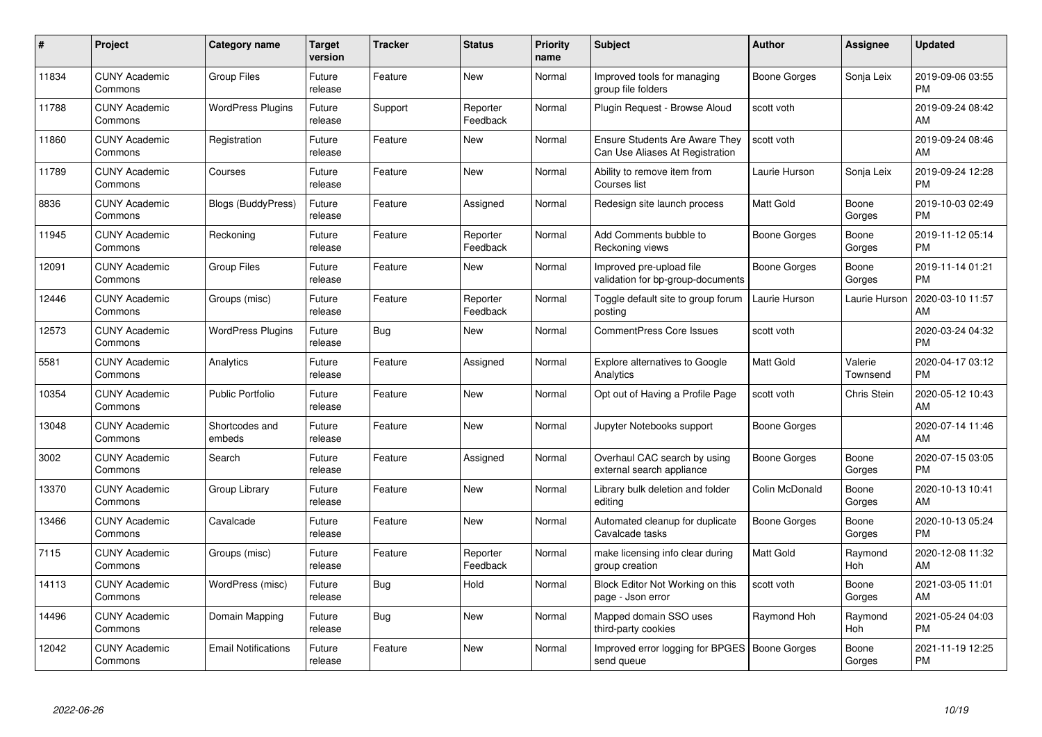| #     | Project                         | <b>Category name</b>       | Target<br>version | <b>Tracker</b> | <b>Status</b>        | <b>Priority</b><br>name | <b>Subject</b>                                                           | <b>Author</b>       | <b>Assignee</b>     | <b>Updated</b>                |
|-------|---------------------------------|----------------------------|-------------------|----------------|----------------------|-------------------------|--------------------------------------------------------------------------|---------------------|---------------------|-------------------------------|
| 11834 | <b>CUNY Academic</b><br>Commons | <b>Group Files</b>         | Future<br>release | Feature        | <b>New</b>           | Normal                  | Improved tools for managing<br>group file folders                        | Boone Gorges        | Sonja Leix          | 2019-09-06 03:55<br><b>PM</b> |
| 11788 | <b>CUNY Academic</b><br>Commons | <b>WordPress Plugins</b>   | Future<br>release | Support        | Reporter<br>Feedback | Normal                  | Plugin Request - Browse Aloud                                            | scott voth          |                     | 2019-09-24 08:42<br>AM        |
| 11860 | <b>CUNY Academic</b><br>Commons | Registration               | Future<br>release | Feature        | <b>New</b>           | Normal                  | <b>Ensure Students Are Aware They</b><br>Can Use Aliases At Registration | scott voth          |                     | 2019-09-24 08:46<br>AM        |
| 11789 | <b>CUNY Academic</b><br>Commons | Courses                    | Future<br>release | Feature        | <b>New</b>           | Normal                  | Ability to remove item from<br>Courses list                              | Laurie Hurson       | Sonja Leix          | 2019-09-24 12:28<br><b>PM</b> |
| 8836  | <b>CUNY Academic</b><br>Commons | Blogs (BuddyPress)         | Future<br>release | Feature        | Assigned             | Normal                  | Redesign site launch process                                             | <b>Matt Gold</b>    | Boone<br>Gorges     | 2019-10-03 02:49<br><b>PM</b> |
| 11945 | <b>CUNY Academic</b><br>Commons | Reckoning                  | Future<br>release | Feature        | Reporter<br>Feedback | Normal                  | Add Comments bubble to<br>Reckoning views                                | Boone Gorges        | Boone<br>Gorges     | 2019-11-12 05:14<br><b>PM</b> |
| 12091 | <b>CUNY Academic</b><br>Commons | <b>Group Files</b>         | Future<br>release | Feature        | <b>New</b>           | Normal                  | Improved pre-upload file<br>validation for bp-group-documents            | Boone Gorges        | Boone<br>Gorges     | 2019-11-14 01:21<br><b>PM</b> |
| 12446 | <b>CUNY Academic</b><br>Commons | Groups (misc)              | Future<br>release | Feature        | Reporter<br>Feedback | Normal                  | Toggle default site to group forum<br>posting                            | Laurie Hurson       | Laurie Hurson       | 2020-03-10 11:57<br>AM        |
| 12573 | <b>CUNY Academic</b><br>Commons | <b>WordPress Plugins</b>   | Future<br>release | Bug            | <b>New</b>           | Normal                  | <b>CommentPress Core Issues</b>                                          | scott voth          |                     | 2020-03-24 04:32<br><b>PM</b> |
| 5581  | <b>CUNY Academic</b><br>Commons | Analytics                  | Future<br>release | Feature        | Assigned             | Normal                  | <b>Explore alternatives to Google</b><br>Analytics                       | <b>Matt Gold</b>    | Valerie<br>Townsend | 2020-04-17 03:12<br><b>PM</b> |
| 10354 | <b>CUNY Academic</b><br>Commons | <b>Public Portfolio</b>    | Future<br>release | Feature        | <b>New</b>           | Normal                  | Opt out of Having a Profile Page                                         | scott voth          | Chris Stein         | 2020-05-12 10:43<br>AM        |
| 13048 | <b>CUNY Academic</b><br>Commons | Shortcodes and<br>embeds   | Future<br>release | Feature        | <b>New</b>           | Normal                  | Jupyter Notebooks support                                                | Boone Gorges        |                     | 2020-07-14 11:46<br>AM        |
| 3002  | <b>CUNY Academic</b><br>Commons | Search                     | Future<br>release | Feature        | Assigned             | Normal                  | Overhaul CAC search by using<br>external search appliance                | <b>Boone Gorges</b> | Boone<br>Gorges     | 2020-07-15 03:05<br><b>PM</b> |
| 13370 | <b>CUNY Academic</b><br>Commons | Group Library              | Future<br>release | Feature        | <b>New</b>           | Normal                  | Library bulk deletion and folder<br>editing                              | Colin McDonald      | Boone<br>Gorges     | 2020-10-13 10:41<br>AM        |
| 13466 | <b>CUNY Academic</b><br>Commons | Cavalcade                  | Future<br>release | Feature        | New                  | Normal                  | Automated cleanup for duplicate<br>Cavalcade tasks                       | Boone Gorges        | Boone<br>Gorges     | 2020-10-13 05:24<br><b>PM</b> |
| 7115  | <b>CUNY Academic</b><br>Commons | Groups (misc)              | Future<br>release | Feature        | Reporter<br>Feedback | Normal                  | make licensing info clear during<br>group creation                       | <b>Matt Gold</b>    | Raymond<br>Hoh      | 2020-12-08 11:32<br>AM        |
| 14113 | <b>CUNY Academic</b><br>Commons | WordPress (misc)           | Future<br>release | Bug            | Hold                 | Normal                  | Block Editor Not Working on this<br>page - Json error                    | scott voth          | Boone<br>Gorges     | 2021-03-05 11:01<br>AM        |
| 14496 | <b>CUNY Academic</b><br>Commons | Domain Mapping             | Future<br>release | Bug            | <b>New</b>           | Normal                  | Mapped domain SSO uses<br>third-party cookies                            | Raymond Hoh         | Raymond<br>Hoh      | 2021-05-24 04:03<br><b>PM</b> |
| 12042 | <b>CUNY Academic</b><br>Commons | <b>Email Notifications</b> | Future<br>release | Feature        | <b>New</b>           | Normal                  | Improved error logging for BPGES<br>send queue                           | <b>Boone Gorges</b> | Boone<br>Gorges     | 2021-11-19 12:25<br>PM        |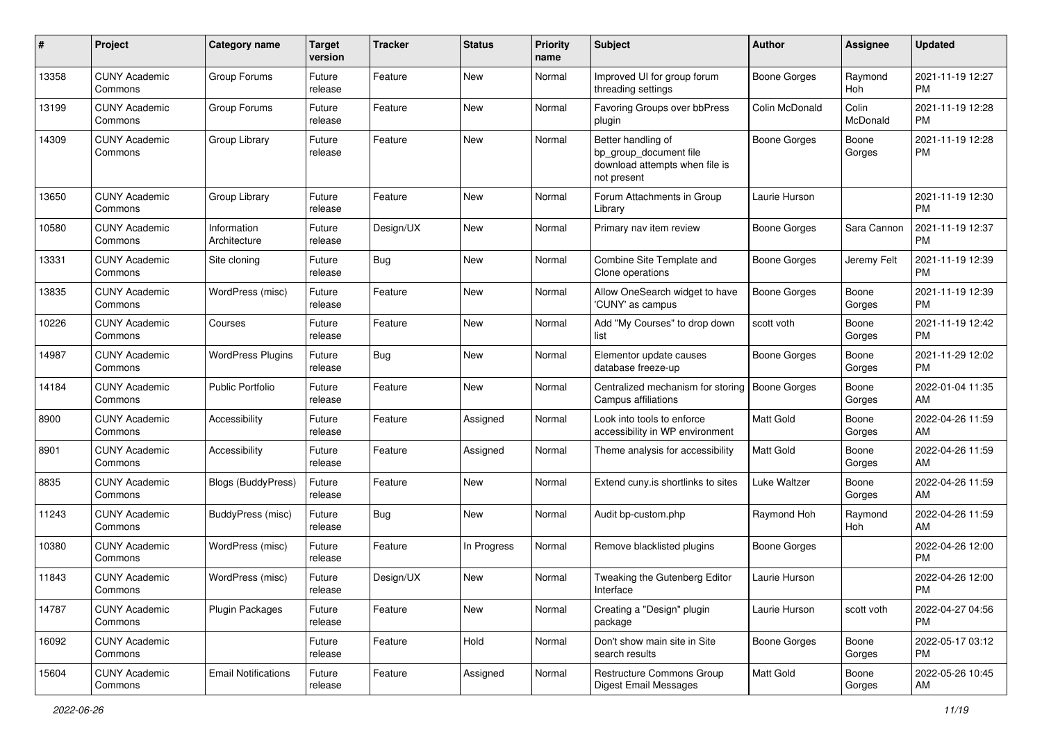| #     | Project                         | <b>Category name</b>        | <b>Target</b><br>version | <b>Tracker</b> | <b>Status</b> | <b>Priority</b><br>name | <b>Subject</b>                                                                                | Author              | <b>Assignee</b>   | <b>Updated</b>                |
|-------|---------------------------------|-----------------------------|--------------------------|----------------|---------------|-------------------------|-----------------------------------------------------------------------------------------------|---------------------|-------------------|-------------------------------|
| 13358 | <b>CUNY Academic</b><br>Commons | Group Forums                | Future<br>release        | Feature        | <b>New</b>    | Normal                  | Improved UI for group forum<br>threading settings                                             | <b>Boone Gorges</b> | Raymond<br>Hoh    | 2021-11-19 12:27<br><b>PM</b> |
| 13199 | <b>CUNY Academic</b><br>Commons | Group Forums                | Future<br>release        | Feature        | <b>New</b>    | Normal                  | Favoring Groups over bbPress<br>plugin                                                        | Colin McDonald      | Colin<br>McDonald | 2021-11-19 12:28<br><b>PM</b> |
| 14309 | <b>CUNY Academic</b><br>Commons | Group Library               | Future<br>release        | Feature        | <b>New</b>    | Normal                  | Better handling of<br>bp group document file<br>download attempts when file is<br>not present | Boone Gorges        | Boone<br>Gorges   | 2021-11-19 12:28<br><b>PM</b> |
| 13650 | <b>CUNY Academic</b><br>Commons | Group Library               | Future<br>release        | Feature        | <b>New</b>    | Normal                  | Forum Attachments in Group<br>Library                                                         | Laurie Hurson       |                   | 2021-11-19 12:30<br><b>PM</b> |
| 10580 | <b>CUNY Academic</b><br>Commons | Information<br>Architecture | Future<br>release        | Design/UX      | <b>New</b>    | Normal                  | Primary nav item review                                                                       | <b>Boone Gorges</b> | Sara Cannon       | 2021-11-19 12:37<br><b>PM</b> |
| 13331 | <b>CUNY Academic</b><br>Commons | Site cloning                | Future<br>release        | Bug            | <b>New</b>    | Normal                  | Combine Site Template and<br>Clone operations                                                 | Boone Gorges        | Jeremy Felt       | 2021-11-19 12:39<br><b>PM</b> |
| 13835 | <b>CUNY Academic</b><br>Commons | WordPress (misc)            | Future<br>release        | Feature        | <b>New</b>    | Normal                  | Allow OneSearch widget to have<br>'CUNY' as campus                                            | Boone Gorges        | Boone<br>Gorges   | 2021-11-19 12:39<br><b>PM</b> |
| 10226 | <b>CUNY Academic</b><br>Commons | Courses                     | Future<br>release        | Feature        | <b>New</b>    | Normal                  | Add "My Courses" to drop down<br>list                                                         | scott voth          | Boone<br>Gorges   | 2021-11-19 12:42<br><b>PM</b> |
| 14987 | <b>CUNY Academic</b><br>Commons | <b>WordPress Plugins</b>    | Future<br>release        | Bug            | <b>New</b>    | Normal                  | Elementor update causes<br>database freeze-up                                                 | <b>Boone Gorges</b> | Boone<br>Gorges   | 2021-11-29 12:02<br><b>PM</b> |
| 14184 | <b>CUNY Academic</b><br>Commons | <b>Public Portfolio</b>     | Future<br>release        | Feature        | <b>New</b>    | Normal                  | Centralized mechanism for storing<br>Campus affiliations                                      | <b>Boone Gorges</b> | Boone<br>Gorges   | 2022-01-04 11:35<br>AM        |
| 8900  | <b>CUNY Academic</b><br>Commons | Accessibility               | Future<br>release        | Feature        | Assigned      | Normal                  | Look into tools to enforce<br>accessibility in WP environment                                 | Matt Gold           | Boone<br>Gorges   | 2022-04-26 11:59<br>AM        |
| 8901  | <b>CUNY Academic</b><br>Commons | Accessibility               | Future<br>release        | Feature        | Assigned      | Normal                  | Theme analysis for accessibility                                                              | <b>Matt Gold</b>    | Boone<br>Gorges   | 2022-04-26 11:59<br>AM        |
| 8835  | <b>CUNY Academic</b><br>Commons | Blogs (BuddyPress)          | Future<br>release        | Feature        | <b>New</b>    | Normal                  | Extend cuny.is shortlinks to sites                                                            | Luke Waltzer        | Boone<br>Gorges   | 2022-04-26 11:59<br>AM        |
| 11243 | <b>CUNY Academic</b><br>Commons | BuddyPress (misc)           | Future<br>release        | <b>Bug</b>     | <b>New</b>    | Normal                  | Audit bp-custom.php                                                                           | Raymond Hoh         | Raymond<br>Hoh    | 2022-04-26 11:59<br>AM        |
| 10380 | <b>CUNY Academic</b><br>Commons | WordPress (misc)            | Future<br>release        | Feature        | In Progress   | Normal                  | Remove blacklisted plugins                                                                    | <b>Boone Gorges</b> |                   | 2022-04-26 12:00<br><b>PM</b> |
| 11843 | <b>CUNY Academic</b><br>Commons | WordPress (misc)            | Future<br>release        | Design/UX      | <b>New</b>    | Normal                  | Tweaking the Gutenberg Editor<br>Interface                                                    | Laurie Hurson       |                   | 2022-04-26 12:00<br>PM        |
| 14787 | <b>CUNY Academic</b><br>Commons | <b>Plugin Packages</b>      | Future<br>release        | Feature        | New           | Normal                  | Creating a "Design" plugin<br>package                                                         | Laurie Hurson       | scott voth        | 2022-04-27 04:56<br><b>PM</b> |
| 16092 | <b>CUNY Academic</b><br>Commons |                             | Future<br>release        | Feature        | Hold          | Normal                  | Don't show main site in Site<br>search results                                                | Boone Gorges        | Boone<br>Gorges   | 2022-05-17 03:12<br><b>PM</b> |
| 15604 | <b>CUNY Academic</b><br>Commons | <b>Email Notifications</b>  | Future<br>release        | Feature        | Assigned      | Normal                  | Restructure Commons Group<br>Digest Email Messages                                            | Matt Gold           | Boone<br>Gorges   | 2022-05-26 10:45<br>AM        |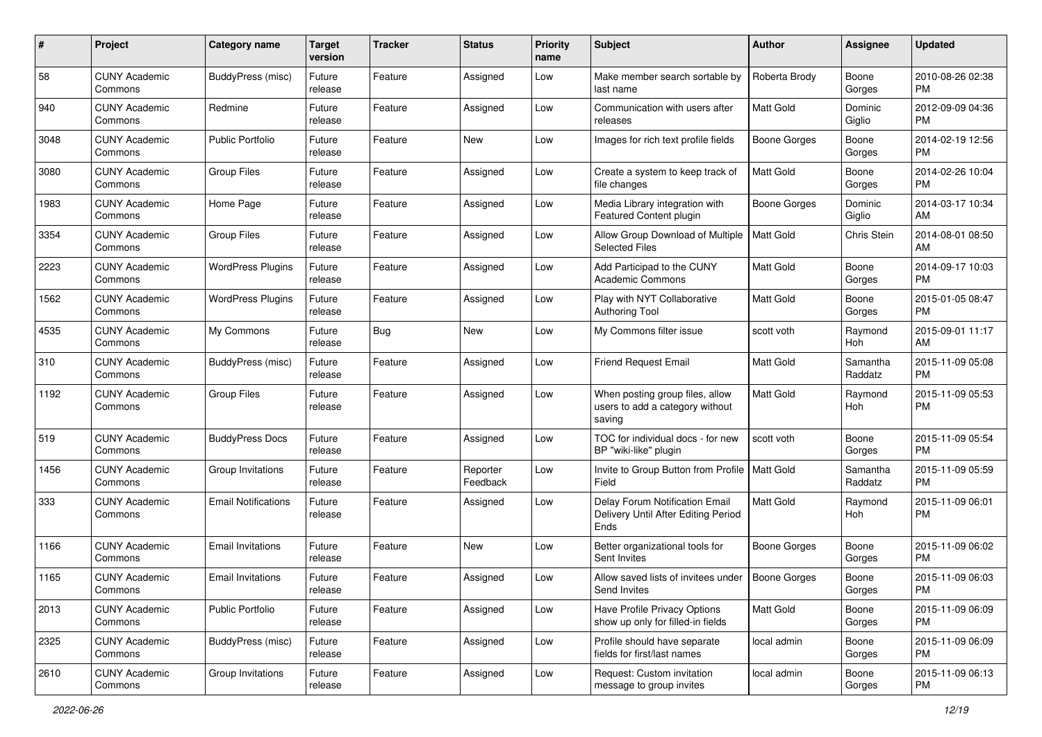| #    | Project                         | <b>Category name</b>       | <b>Target</b><br>version | <b>Tracker</b> | <b>Status</b>        | <b>Priority</b><br>name | Subject                                                                       | Author              | <b>Assignee</b>     | <b>Updated</b>                |
|------|---------------------------------|----------------------------|--------------------------|----------------|----------------------|-------------------------|-------------------------------------------------------------------------------|---------------------|---------------------|-------------------------------|
| 58   | <b>CUNY Academic</b><br>Commons | BuddyPress (misc)          | Future<br>release        | Feature        | Assigned             | Low                     | Make member search sortable by<br>last name                                   | Roberta Brody       | Boone<br>Gorges     | 2010-08-26 02:38<br><b>PM</b> |
| 940  | <b>CUNY Academic</b><br>Commons | Redmine                    | Future<br>release        | Feature        | Assigned             | Low                     | Communication with users after<br>releases                                    | Matt Gold           | Dominic<br>Giglio   | 2012-09-09 04:36<br><b>PM</b> |
| 3048 | CUNY Academic<br>Commons        | <b>Public Portfolio</b>    | Future<br>release        | Feature        | <b>New</b>           | Low                     | Images for rich text profile fields                                           | <b>Boone Gorges</b> | Boone<br>Gorges     | 2014-02-19 12:56<br><b>PM</b> |
| 3080 | <b>CUNY Academic</b><br>Commons | <b>Group Files</b>         | Future<br>release        | Feature        | Assigned             | Low                     | Create a system to keep track of<br>file changes                              | Matt Gold           | Boone<br>Gorges     | 2014-02-26 10:04<br><b>PM</b> |
| 1983 | CUNY Academic<br>Commons        | Home Page                  | Future<br>release        | Feature        | Assigned             | Low                     | Media Library integration with<br>Featured Content plugin                     | Boone Gorges        | Dominic<br>Giglio   | 2014-03-17 10:34<br>AM        |
| 3354 | <b>CUNY Academic</b><br>Commons | Group Files                | Future<br>release        | Feature        | Assigned             | Low                     | Allow Group Download of Multiple<br>Selected Files                            | Matt Gold           | Chris Stein         | 2014-08-01 08:50<br>AM        |
| 2223 | <b>CUNY Academic</b><br>Commons | <b>WordPress Plugins</b>   | Future<br>release        | Feature        | Assigned             | Low                     | Add Participad to the CUNY<br>Academic Commons                                | Matt Gold           | Boone<br>Gorges     | 2014-09-17 10:03<br><b>PM</b> |
| 1562 | <b>CUNY Academic</b><br>Commons | <b>WordPress Plugins</b>   | Future<br>release        | Feature        | Assigned             | Low                     | Play with NYT Collaborative<br><b>Authoring Tool</b>                          | <b>Matt Gold</b>    | Boone<br>Gorges     | 2015-01-05 08:47<br><b>PM</b> |
| 4535 | <b>CUNY Academic</b><br>Commons | My Commons                 | Future<br>release        | Bug            | <b>New</b>           | Low                     | My Commons filter issue                                                       | scott voth          | Raymond<br>Hoh      | 2015-09-01 11:17<br>AM        |
| 310  | CUNY Academic<br>Commons        | BuddyPress (misc)          | Future<br>release        | Feature        | Assigned             | Low                     | <b>Friend Request Email</b>                                                   | <b>Matt Gold</b>    | Samantha<br>Raddatz | 2015-11-09 05:08<br><b>PM</b> |
| 1192 | <b>CUNY Academic</b><br>Commons | <b>Group Files</b>         | Future<br>release        | Feature        | Assigned             | Low                     | When posting group files, allow<br>users to add a category without<br>saving  | Matt Gold           | Raymond<br>Hoh      | 2015-11-09 05:53<br><b>PM</b> |
| 519  | <b>CUNY Academic</b><br>Commons | <b>BuddyPress Docs</b>     | Future<br>release        | Feature        | Assigned             | Low                     | TOC for individual docs - for new<br>BP "wiki-like" plugin                    | scott voth          | Boone<br>Gorges     | 2015-11-09 05:54<br><b>PM</b> |
| 1456 | CUNY Academic<br>Commons        | Group Invitations          | Future<br>release        | Feature        | Reporter<br>Feedback | Low                     | Invite to Group Button from Profile   Matt Gold<br>Field                      |                     | Samantha<br>Raddatz | 2015-11-09 05:59<br><b>PM</b> |
| 333  | <b>CUNY Academic</b><br>Commons | <b>Email Notifications</b> | Future<br>release        | Feature        | Assigned             | Low                     | Delay Forum Notification Email<br>Delivery Until After Editing Period<br>Ends | <b>Matt Gold</b>    | Raymond<br>Hoh      | 2015-11-09 06:01<br><b>PM</b> |
| 1166 | <b>CUNY Academic</b><br>Commons | <b>Email Invitations</b>   | Future<br>release        | Feature        | <b>New</b>           | Low                     | Better organizational tools for<br>Sent Invites                               | <b>Boone Gorges</b> | Boone<br>Gorges     | 2015-11-09 06:02<br><b>PM</b> |
| 1165 | <b>CUNY Academic</b><br>Commons | <b>Email Invitations</b>   | Future<br>release        | Feature        | Assigned             | Low                     | Allow saved lists of invitees under<br>Send Invites                           | Boone Gorges        | Boone<br>Gorges     | 2015-11-09 06:03<br>PM        |
| 2013 | <b>CUNY Academic</b><br>Commons | <b>Public Portfolio</b>    | Future<br>release        | Feature        | Assigned             | Low                     | Have Profile Privacy Options<br>show up only for filled-in fields             | Matt Gold           | Boone<br>Gorges     | 2015-11-09 06:09<br><b>PM</b> |
| 2325 | <b>CUNY Academic</b><br>Commons | BuddyPress (misc)          | Future<br>release        | Feature        | Assigned             | Low                     | Profile should have separate<br>fields for first/last names                   | local admin         | Boone<br>Gorges     | 2015-11-09 06:09<br><b>PM</b> |
| 2610 | <b>CUNY Academic</b><br>Commons | Group Invitations          | Future<br>release        | Feature        | Assigned             | Low                     | Request: Custom invitation<br>message to group invites                        | local admin         | Boone<br>Gorges     | 2015-11-09 06:13<br><b>PM</b> |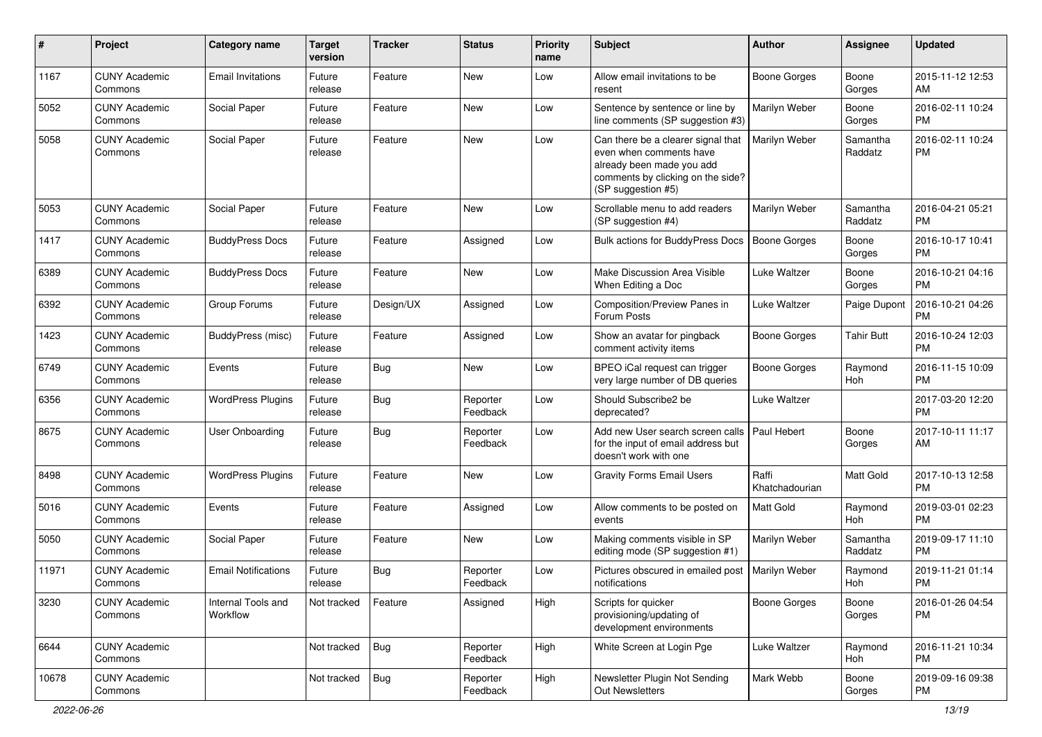| #     | Project                         | <b>Category name</b>           | <b>Target</b><br>version | <b>Tracker</b> | <b>Status</b>        | <b>Priority</b><br>name | <b>Subject</b>                                                                                                                                        | <b>Author</b>           | <b>Assignee</b>     | <b>Updated</b>                |
|-------|---------------------------------|--------------------------------|--------------------------|----------------|----------------------|-------------------------|-------------------------------------------------------------------------------------------------------------------------------------------------------|-------------------------|---------------------|-------------------------------|
| 1167  | <b>CUNY Academic</b><br>Commons | <b>Email Invitations</b>       | Future<br>release        | Feature        | <b>New</b>           | Low                     | Allow email invitations to be<br>resent                                                                                                               | <b>Boone Gorges</b>     | Boone<br>Gorges     | 2015-11-12 12:53<br>AM        |
| 5052  | <b>CUNY Academic</b><br>Commons | Social Paper                   | Future<br>release        | Feature        | <b>New</b>           | Low                     | Sentence by sentence or line by<br>line comments (SP suggestion #3)                                                                                   | Marilyn Weber           | Boone<br>Gorges     | 2016-02-11 10:24<br><b>PM</b> |
| 5058  | <b>CUNY Academic</b><br>Commons | Social Paper                   | Future<br>release        | Feature        | <b>New</b>           | Low                     | Can there be a clearer signal that<br>even when comments have<br>already been made you add<br>comments by clicking on the side?<br>(SP suggestion #5) | Marilyn Weber           | Samantha<br>Raddatz | 2016-02-11 10:24<br><b>PM</b> |
| 5053  | <b>CUNY Academic</b><br>Commons | Social Paper                   | Future<br>release        | Feature        | <b>New</b>           | Low                     | Scrollable menu to add readers<br>(SP suggestion #4)                                                                                                  | Marilyn Weber           | Samantha<br>Raddatz | 2016-04-21 05:21<br><b>PM</b> |
| 1417  | <b>CUNY Academic</b><br>Commons | <b>BuddyPress Docs</b>         | Future<br>release        | Feature        | Assigned             | Low                     | Bulk actions for BuddyPress Docs                                                                                                                      | <b>Boone Gorges</b>     | Boone<br>Gorges     | 2016-10-17 10:41<br><b>PM</b> |
| 6389  | <b>CUNY Academic</b><br>Commons | <b>BuddyPress Docs</b>         | Future<br>release        | Feature        | <b>New</b>           | Low                     | Make Discussion Area Visible<br>When Editing a Doc                                                                                                    | Luke Waltzer            | Boone<br>Gorges     | 2016-10-21 04:16<br><b>PM</b> |
| 6392  | <b>CUNY Academic</b><br>Commons | Group Forums                   | Future<br>release        | Design/UX      | Assigned             | Low                     | <b>Composition/Preview Panes in</b><br>Forum Posts                                                                                                    | Luke Waltzer            | Paige Dupont        | 2016-10-21 04:26<br><b>PM</b> |
| 1423  | <b>CUNY Academic</b><br>Commons | BuddyPress (misc)              | Future<br>release        | Feature        | Assigned             | Low                     | Show an avatar for pingback<br>comment activity items                                                                                                 | Boone Gorges            | <b>Tahir Butt</b>   | 2016-10-24 12:03<br><b>PM</b> |
| 6749  | <b>CUNY Academic</b><br>Commons | Events                         | Future<br>release        | Bug            | <b>New</b>           | Low                     | BPEO iCal request can trigger<br>very large number of DB queries                                                                                      | <b>Boone Gorges</b>     | Raymond<br>Hoh      | 2016-11-15 10:09<br><b>PM</b> |
| 6356  | <b>CUNY Academic</b><br>Commons | <b>WordPress Plugins</b>       | Future<br>release        | Bug            | Reporter<br>Feedback | Low                     | Should Subscribe2 be<br>deprecated?                                                                                                                   | Luke Waltzer            |                     | 2017-03-20 12:20<br><b>PM</b> |
| 8675  | <b>CUNY Academic</b><br>Commons | <b>User Onboarding</b>         | Future<br>release        | Bug            | Reporter<br>Feedback | Low                     | Add new User search screen calls<br>for the input of email address but<br>doesn't work with one                                                       | Paul Hebert             | Boone<br>Gorges     | 2017-10-11 11:17<br>AM        |
| 8498  | <b>CUNY Academic</b><br>Commons | <b>WordPress Plugins</b>       | Future<br>release        | Feature        | New                  | Low                     | <b>Gravity Forms Email Users</b>                                                                                                                      | Raffi<br>Khatchadourian | <b>Matt Gold</b>    | 2017-10-13 12:58<br><b>PM</b> |
| 5016  | <b>CUNY Academic</b><br>Commons | Events                         | Future<br>release        | Feature        | Assigned             | Low                     | Allow comments to be posted on<br>events                                                                                                              | Matt Gold               | Raymond<br>Hoh      | 2019-03-01 02:23<br><b>PM</b> |
| 5050  | <b>CUNY Academic</b><br>Commons | Social Paper                   | Future<br>release        | Feature        | <b>New</b>           | Low                     | Making comments visible in SP<br>editing mode (SP suggestion #1)                                                                                      | Marilyn Weber           | Samantha<br>Raddatz | 2019-09-17 11:10<br><b>PM</b> |
| 11971 | <b>CUNY Academic</b><br>Commons | <b>Email Notifications</b>     | Future<br>release        | Bug            | Reporter<br>Feedback | Low                     | Pictures obscured in emailed post<br>notifications                                                                                                    | Marilyn Weber           | Raymond<br>Hoh      | 2019-11-21 01:14<br><b>PM</b> |
| 3230  | <b>CUNY Academic</b><br>Commons | Internal Tools and<br>Workflow | Not tracked              | Feature        | Assigned             | High                    | Scripts for quicker<br>provisioning/updating of<br>development environments                                                                           | <b>Boone Gorges</b>     | Boone<br>Gorges     | 2016-01-26 04:54<br><b>PM</b> |
| 6644  | <b>CUNY Academic</b><br>Commons |                                | Not tracked              | Bug            | Reporter<br>Feedback | High                    | White Screen at Login Pge                                                                                                                             | Luke Waltzer            | Raymond<br>Hoh      | 2016-11-21 10:34<br><b>PM</b> |
| 10678 | <b>CUNY Academic</b><br>Commons |                                | Not tracked              | Bug            | Reporter<br>Feedback | High                    | Newsletter Plugin Not Sending<br>Out Newsletters                                                                                                      | Mark Webb               | Boone<br>Gorges     | 2019-09-16 09:38<br>PM        |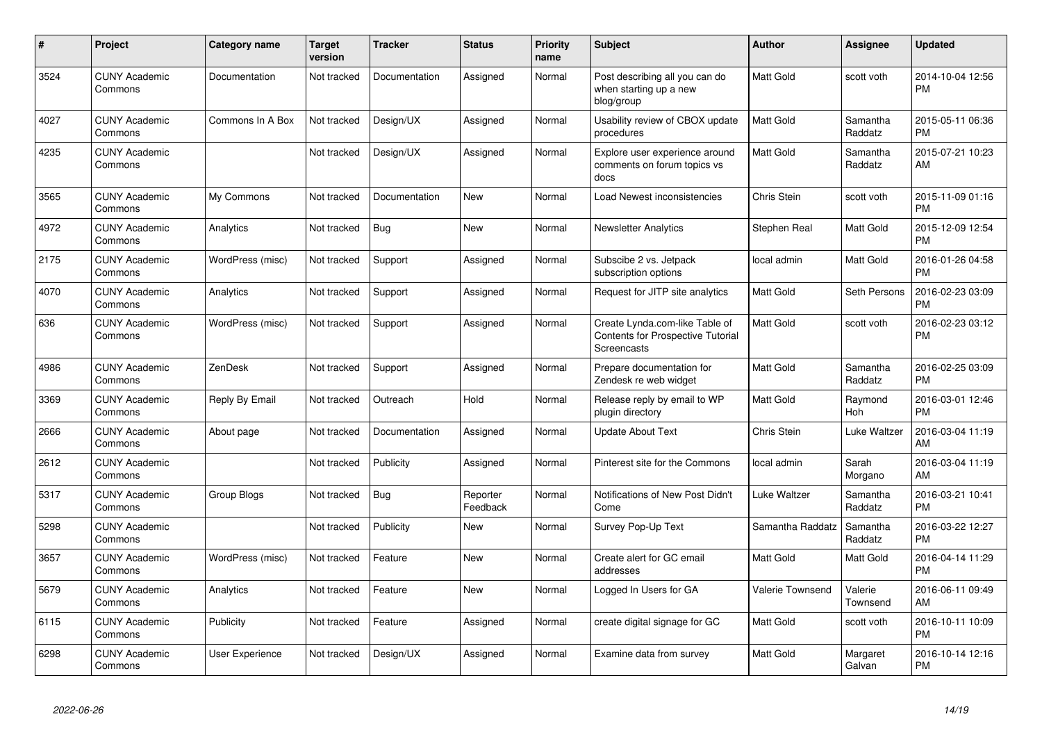| #    | Project                         | <b>Category name</b> | <b>Target</b><br>version | Tracker       | <b>Status</b>        | <b>Priority</b><br>name | <b>Subject</b>                                                                            | Author             | <b>Assignee</b>       | <b>Updated</b>                |
|------|---------------------------------|----------------------|--------------------------|---------------|----------------------|-------------------------|-------------------------------------------------------------------------------------------|--------------------|-----------------------|-------------------------------|
| 3524 | <b>CUNY Academic</b><br>Commons | Documentation        | Not tracked              | Documentation | Assigned             | Normal                  | Post describing all you can do<br>when starting up a new<br>blog/group                    | Matt Gold          | scott voth            | 2014-10-04 12:56<br><b>PM</b> |
| 4027 | <b>CUNY Academic</b><br>Commons | Commons In A Box     | Not tracked              | Design/UX     | Assigned             | Normal                  | Usability review of CBOX update<br>procedures                                             | Matt Gold          | Samantha<br>Raddatz   | 2015-05-11 06:36<br><b>PM</b> |
| 4235 | <b>CUNY Academic</b><br>Commons |                      | Not tracked              | Design/UX     | Assigned             | Normal                  | Explore user experience around<br>comments on forum topics vs<br>docs                     | Matt Gold          | Samantha<br>Raddatz   | 2015-07-21 10:23<br>AM        |
| 3565 | <b>CUNY Academic</b><br>Commons | My Commons           | Not tracked              | Documentation | <b>New</b>           | Normal                  | Load Newest inconsistencies                                                               | Chris Stein        | scott voth            | 2015-11-09 01:16<br><b>PM</b> |
| 4972 | <b>CUNY Academic</b><br>Commons | Analytics            | Not tracked              | <b>Bug</b>    | <b>New</b>           | Normal                  | Newsletter Analytics                                                                      | Stephen Real       | Matt Gold             | 2015-12-09 12:54<br><b>PM</b> |
| 2175 | <b>CUNY Academic</b><br>Commons | WordPress (misc)     | Not tracked              | Support       | Assigned             | Normal                  | Subscibe 2 vs. Jetpack<br>subscription options                                            | local admin        | Matt Gold             | 2016-01-26 04:58<br><b>PM</b> |
| 4070 | <b>CUNY Academic</b><br>Commons | Analytics            | Not tracked              | Support       | Assigned             | Normal                  | Request for JITP site analytics                                                           | Matt Gold          | Seth Persons          | 2016-02-23 03:09<br><b>PM</b> |
| 636  | <b>CUNY Academic</b><br>Commons | WordPress (misc)     | Not tracked              | Support       | Assigned             | Normal                  | Create Lynda.com-like Table of<br><b>Contents for Prospective Tutorial</b><br>Screencasts | Matt Gold          | scott voth            | 2016-02-23 03:12<br><b>PM</b> |
| 4986 | <b>CUNY Academic</b><br>Commons | ZenDesk              | Not tracked              | Support       | Assigned             | Normal                  | Prepare documentation for<br>Zendesk re web widget                                        | Matt Gold          | Samantha<br>Raddatz   | 2016-02-25 03:09<br><b>PM</b> |
| 3369 | <b>CUNY Academic</b><br>Commons | Reply By Email       | Not tracked              | Outreach      | Hold                 | Normal                  | Release reply by email to WP<br>plugin directory                                          | Matt Gold          | Raymond<br><b>Hoh</b> | 2016-03-01 12:46<br><b>PM</b> |
| 2666 | <b>CUNY Academic</b><br>Commons | About page           | Not tracked              | Documentation | Assigned             | Normal                  | Update About Text                                                                         | <b>Chris Stein</b> | Luke Waltzer          | 2016-03-04 11:19<br>AM        |
| 2612 | <b>CUNY Academic</b><br>Commons |                      | Not tracked              | Publicity     | Assigned             | Normal                  | Pinterest site for the Commons                                                            | local admin        | Sarah<br>Morgano      | 2016-03-04 11:19<br>AM        |
| 5317 | <b>CUNY Academic</b><br>Commons | Group Blogs          | Not tracked              | <b>Bug</b>    | Reporter<br>Feedback | Normal                  | Notifications of New Post Didn't<br>Come                                                  | Luke Waltzer       | Samantha<br>Raddatz   | 2016-03-21 10:41<br><b>PM</b> |
| 5298 | <b>CUNY Academic</b><br>Commons |                      | Not tracked              | Publicity     | <b>New</b>           | Normal                  | Survey Pop-Up Text                                                                        | Samantha Raddatz   | Samantha<br>Raddatz   | 2016-03-22 12:27<br><b>PM</b> |
| 3657 | <b>CUNY Academic</b><br>Commons | WordPress (misc)     | Not tracked              | Feature       | New                  | Normal                  | Create alert for GC email<br>addresses                                                    | Matt Gold          | Matt Gold             | 2016-04-14 11:29<br><b>PM</b> |
| 5679 | <b>CUNY Academic</b><br>Commons | Analytics            | Not tracked              | Feature       | <b>New</b>           | Normal                  | Logged In Users for GA                                                                    | Valerie Townsend   | Valerie<br>Townsend   | 2016-06-11 09:49<br>AM        |
| 6115 | <b>CUNY Academic</b><br>Commons | Publicity            | Not tracked              | Feature       | Assigned             | Normal                  | create digital signage for GC                                                             | Matt Gold          | scott voth            | 2016-10-11 10:09<br><b>PM</b> |
| 6298 | <b>CUNY Academic</b><br>Commons | User Experience      | Not tracked              | Design/UX     | Assigned             | Normal                  | Examine data from survey                                                                  | Matt Gold          | Margaret<br>Galvan    | 2016-10-14 12:16<br><b>PM</b> |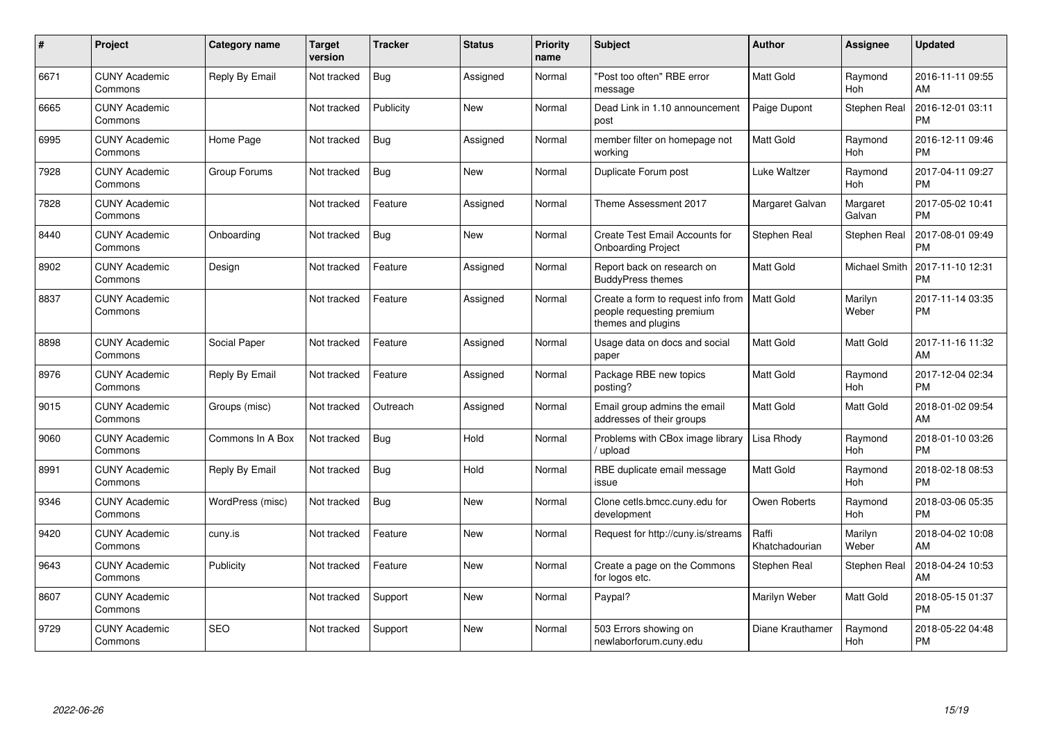| #    | <b>Project</b>                  | Category name    | <b>Target</b><br>version | <b>Tracker</b> | <b>Status</b> | <b>Priority</b><br>name | <b>Subject</b>                                                                        | Author                  | <b>Assignee</b>       | <b>Updated</b>                |
|------|---------------------------------|------------------|--------------------------|----------------|---------------|-------------------------|---------------------------------------------------------------------------------------|-------------------------|-----------------------|-------------------------------|
| 6671 | <b>CUNY Academic</b><br>Commons | Reply By Email   | Not tracked              | <b>Bug</b>     | Assigned      | Normal                  | 'Post too often" RBE error<br>message                                                 | <b>Matt Gold</b>        | Raymond<br><b>Hoh</b> | 2016-11-11 09:55<br>AM        |
| 6665 | <b>CUNY Academic</b><br>Commons |                  | Not tracked              | Publicity      | <b>New</b>    | Normal                  | Dead Link in 1.10 announcement<br>post                                                | Paige Dupont            | Stephen Real          | 2016-12-01 03:11<br><b>PM</b> |
| 6995 | <b>CUNY Academic</b><br>Commons | Home Page        | Not tracked              | <b>Bug</b>     | Assigned      | Normal                  | member filter on homepage not<br>working                                              | <b>Matt Gold</b>        | Raymond<br><b>Hoh</b> | 2016-12-11 09:46<br><b>PM</b> |
| 7928 | <b>CUNY Academic</b><br>Commons | Group Forums     | Not tracked              | <b>Bug</b>     | New           | Normal                  | Duplicate Forum post                                                                  | Luke Waltzer            | Raymond<br><b>Hoh</b> | 2017-04-11 09:27<br><b>PM</b> |
| 7828 | <b>CUNY Academic</b><br>Commons |                  | Not tracked              | Feature        | Assigned      | Normal                  | Theme Assessment 2017                                                                 | Margaret Galvan         | Margaret<br>Galvan    | 2017-05-02 10:41<br><b>PM</b> |
| 8440 | <b>CUNY Academic</b><br>Commons | Onboarding       | Not tracked              | Bug            | <b>New</b>    | Normal                  | Create Test Email Accounts for<br><b>Onboarding Project</b>                           | Stephen Real            | <b>Stephen Real</b>   | 2017-08-01 09:49<br><b>PM</b> |
| 8902 | <b>CUNY Academic</b><br>Commons | Design           | Not tracked              | Feature        | Assigned      | Normal                  | Report back on research on<br><b>BuddyPress themes</b>                                | <b>Matt Gold</b>        | Michael Smith         | 2017-11-10 12:31<br><b>PM</b> |
| 8837 | <b>CUNY Academic</b><br>Commons |                  | Not tracked              | Feature        | Assigned      | Normal                  | Create a form to request info from<br>people requesting premium<br>themes and plugins | <b>Matt Gold</b>        | Marilyn<br>Weber      | 2017-11-14 03:35<br><b>PM</b> |
| 8898 | <b>CUNY Academic</b><br>Commons | Social Paper     | Not tracked              | Feature        | Assigned      | Normal                  | Usage data on docs and social<br>paper                                                | <b>Matt Gold</b>        | <b>Matt Gold</b>      | 2017-11-16 11:32<br>AM        |
| 8976 | <b>CUNY Academic</b><br>Commons | Reply By Email   | Not tracked              | Feature        | Assigned      | Normal                  | Package RBE new topics<br>posting?                                                    | <b>Matt Gold</b>        | Raymond<br>Hoh        | 2017-12-04 02:34<br><b>PM</b> |
| 9015 | <b>CUNY Academic</b><br>Commons | Groups (misc)    | Not tracked              | Outreach       | Assigned      | Normal                  | Email group admins the email<br>addresses of their groups                             | <b>Matt Gold</b>        | Matt Gold             | 2018-01-02 09:54<br>AM        |
| 9060 | <b>CUNY Academic</b><br>Commons | Commons In A Box | Not tracked              | Bug            | Hold          | Normal                  | Problems with CBox image library<br>upload                                            | Lisa Rhody              | Raymond<br>Hoh        | 2018-01-10 03:26<br><b>PM</b> |
| 8991 | <b>CUNY Academic</b><br>Commons | Reply By Email   | Not tracked              | Bug            | Hold          | Normal                  | RBE duplicate email message<br>issue                                                  | <b>Matt Gold</b>        | Raymond<br>Hoh        | 2018-02-18 08:53<br><b>PM</b> |
| 9346 | <b>CUNY Academic</b><br>Commons | WordPress (misc) | Not tracked              | Bug            | New           | Normal                  | Clone cetls.bmcc.cuny.edu for<br>development                                          | Owen Roberts            | Raymond<br><b>Hoh</b> | 2018-03-06 05:35<br><b>PM</b> |
| 9420 | <b>CUNY Academic</b><br>Commons | cuny.is          | Not tracked              | Feature        | <b>New</b>    | Normal                  | Request for http://cuny.is/streams                                                    | Raffi<br>Khatchadourian | Marilyn<br>Weber      | 2018-04-02 10:08<br>AM        |
| 9643 | <b>CUNY Academic</b><br>Commons | Publicity        | Not tracked              | Feature        | New           | Normal                  | Create a page on the Commons<br>for logos etc.                                        | Stephen Real            | <b>Stephen Real</b>   | 2018-04-24 10:53<br>AM        |
| 8607 | <b>CUNY Academic</b><br>Commons |                  | Not tracked              | Support        | <b>New</b>    | Normal                  | Paypal?                                                                               | Marilyn Weber           | Matt Gold             | 2018-05-15 01:37<br><b>PM</b> |
| 9729 | CUNY Academic<br>Commons        | <b>SEO</b>       | Not tracked              | Support        | <b>New</b>    | Normal                  | 503 Errors showing on<br>newlaborforum.cuny.edu                                       | Diane Krauthamer        | Raymond<br>Hoh        | 2018-05-22 04:48<br><b>PM</b> |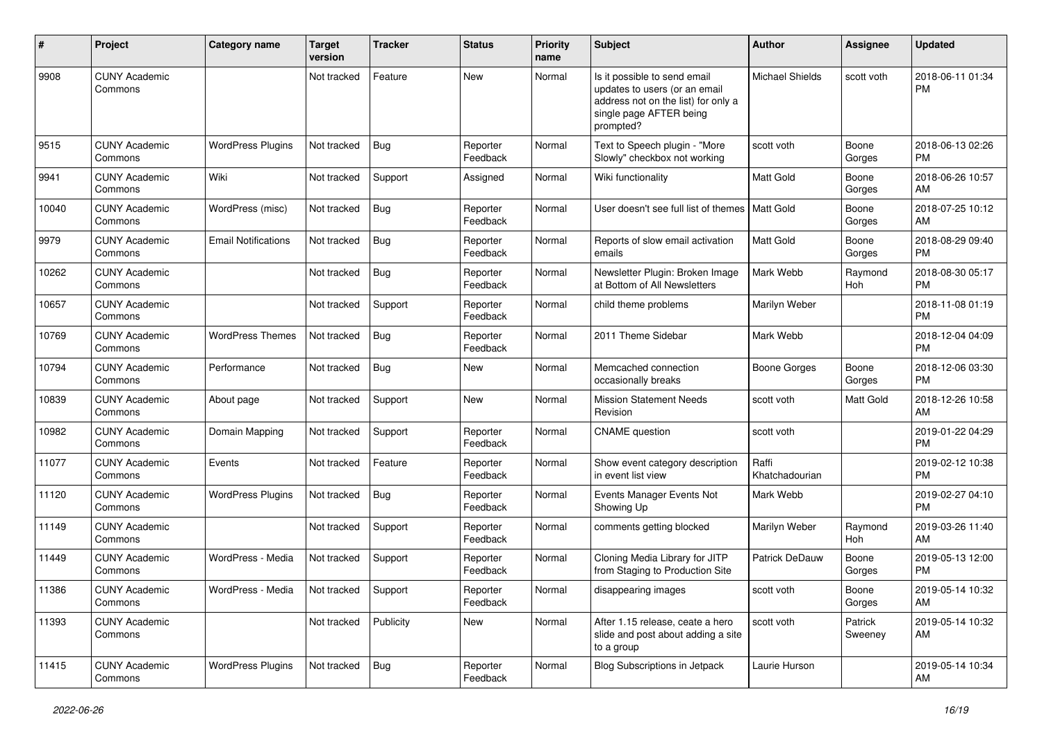| #     | Project                         | <b>Category name</b>       | <b>Target</b><br>version | <b>Tracker</b> | <b>Status</b>        | <b>Priority</b><br>name | <b>Subject</b>                                                                                                                               | <b>Author</b>           | Assignee           | <b>Updated</b>                |
|-------|---------------------------------|----------------------------|--------------------------|----------------|----------------------|-------------------------|----------------------------------------------------------------------------------------------------------------------------------------------|-------------------------|--------------------|-------------------------------|
| 9908  | <b>CUNY Academic</b><br>Commons |                            | Not tracked              | Feature        | New                  | Normal                  | Is it possible to send email<br>updates to users (or an email<br>address not on the list) for only a<br>single page AFTER being<br>prompted? | <b>Michael Shields</b>  | scott voth         | 2018-06-11 01:34<br><b>PM</b> |
| 9515  | <b>CUNY Academic</b><br>Commons | <b>WordPress Plugins</b>   | Not tracked              | Bug            | Reporter<br>Feedback | Normal                  | Text to Speech plugin - "More<br>Slowly" checkbox not working                                                                                | scott voth              | Boone<br>Gorges    | 2018-06-13 02:26<br><b>PM</b> |
| 9941  | <b>CUNY Academic</b><br>Commons | Wiki                       | Not tracked              | Support        | Assigned             | Normal                  | Wiki functionality                                                                                                                           | Matt Gold               | Boone<br>Gorges    | 2018-06-26 10:57<br>AM        |
| 10040 | <b>CUNY Academic</b><br>Commons | WordPress (misc)           | Not tracked              | <b>Bug</b>     | Reporter<br>Feedback | Normal                  | User doesn't see full list of themes   Matt Gold                                                                                             |                         | Boone<br>Gorges    | 2018-07-25 10:12<br>AM        |
| 9979  | <b>CUNY Academic</b><br>Commons | <b>Email Notifications</b> | Not tracked              | Bug            | Reporter<br>Feedback | Normal                  | Reports of slow email activation<br>emails                                                                                                   | <b>Matt Gold</b>        | Boone<br>Gorges    | 2018-08-29 09:40<br><b>PM</b> |
| 10262 | <b>CUNY Academic</b><br>Commons |                            | Not tracked              | <b>Bug</b>     | Reporter<br>Feedback | Normal                  | Newsletter Plugin: Broken Image<br>at Bottom of All Newsletters                                                                              | Mark Webb               | Raymond<br>Hoh     | 2018-08-30 05:17<br><b>PM</b> |
| 10657 | <b>CUNY Academic</b><br>Commons |                            | Not tracked              | Support        | Reporter<br>Feedback | Normal                  | child theme problems                                                                                                                         | Marilyn Weber           |                    | 2018-11-08 01:19<br><b>PM</b> |
| 10769 | <b>CUNY Academic</b><br>Commons | <b>WordPress Themes</b>    | Not tracked              | <b>Bug</b>     | Reporter<br>Feedback | Normal                  | 2011 Theme Sidebar                                                                                                                           | Mark Webb               |                    | 2018-12-04 04:09<br><b>PM</b> |
| 10794 | <b>CUNY Academic</b><br>Commons | Performance                | Not tracked              | Bug            | New                  | Normal                  | Memcached connection<br>occasionally breaks                                                                                                  | <b>Boone Gorges</b>     | Boone<br>Gorges    | 2018-12-06 03:30<br><b>PM</b> |
| 10839 | <b>CUNY Academic</b><br>Commons | About page                 | Not tracked              | Support        | New                  | Normal                  | <b>Mission Statement Needs</b><br>Revision                                                                                                   | scott voth              | Matt Gold          | 2018-12-26 10:58<br>AM        |
| 10982 | <b>CUNY Academic</b><br>Commons | Domain Mapping             | Not tracked              | Support        | Reporter<br>Feedback | Normal                  | <b>CNAME</b> question                                                                                                                        | scott voth              |                    | 2019-01-22 04:29<br><b>PM</b> |
| 11077 | <b>CUNY Academic</b><br>Commons | Events                     | Not tracked              | Feature        | Reporter<br>Feedback | Normal                  | Show event category description<br>in event list view                                                                                        | Raffi<br>Khatchadourian |                    | 2019-02-12 10:38<br><b>PM</b> |
| 11120 | <b>CUNY Academic</b><br>Commons | <b>WordPress Plugins</b>   | Not tracked              | Bug            | Reporter<br>Feedback | Normal                  | Events Manager Events Not<br>Showing Up                                                                                                      | Mark Webb               |                    | 2019-02-27 04:10<br>PM        |
| 11149 | <b>CUNY Academic</b><br>Commons |                            | Not tracked              | Support        | Reporter<br>Feedback | Normal                  | comments getting blocked                                                                                                                     | Marilyn Weber           | Raymond<br>Hoh     | 2019-03-26 11:40<br>AM        |
| 11449 | <b>CUNY Academic</b><br>Commons | WordPress - Media          | Not tracked              | Support        | Reporter<br>Feedback | Normal                  | Cloning Media Library for JITP<br>from Staging to Production Site                                                                            | <b>Patrick DeDauw</b>   | Boone<br>Gorges    | 2019-05-13 12:00<br><b>PM</b> |
| 11386 | <b>CUNY Academic</b><br>Commons | WordPress - Media          | Not tracked Support      |                | Reporter<br>Feedback | Normal                  | disappearing images                                                                                                                          | scott voth              | Boone<br>Gorges    | 2019-05-14 10:32<br>AM        |
| 11393 | <b>CUNY Academic</b><br>Commons |                            | Not tracked              | Publicity      | New                  | Normal                  | After 1.15 release, ceate a hero<br>slide and post about adding a site<br>to a group                                                         | scott voth              | Patrick<br>Sweeney | 2019-05-14 10:32<br>AM        |
| 11415 | <b>CUNY Academic</b><br>Commons | <b>WordPress Plugins</b>   | Not tracked              | <b>Bug</b>     | Reporter<br>Feedback | Normal                  | <b>Blog Subscriptions in Jetpack</b>                                                                                                         | Laurie Hurson           |                    | 2019-05-14 10:34<br>AM        |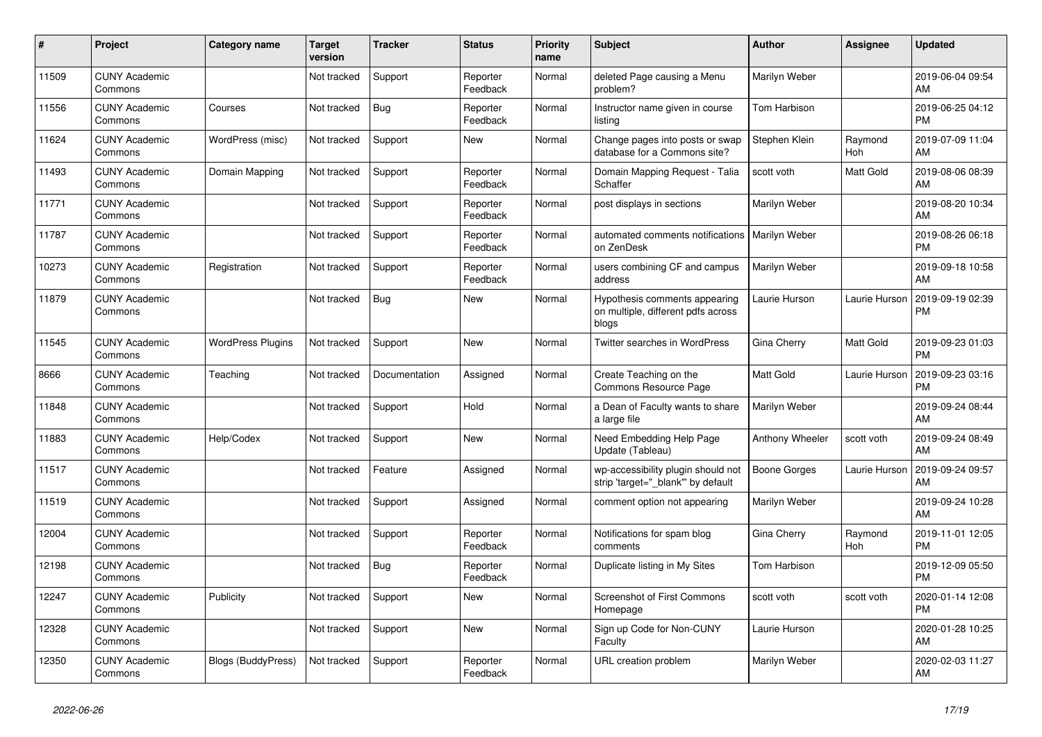| #     | Project                         | <b>Category name</b>      | <b>Target</b><br>version | <b>Tracker</b> | <b>Status</b>        | <b>Priority</b><br>name | <b>Subject</b>                                                               | <b>Author</b>        | <b>Assignee</b>       | <b>Updated</b>                |
|-------|---------------------------------|---------------------------|--------------------------|----------------|----------------------|-------------------------|------------------------------------------------------------------------------|----------------------|-----------------------|-------------------------------|
| 11509 | <b>CUNY Academic</b><br>Commons |                           | Not tracked              | Support        | Reporter<br>Feedback | Normal                  | deleted Page causing a Menu<br>problem?                                      | Marilyn Weber        |                       | 2019-06-04 09:54<br>AM        |
| 11556 | <b>CUNY Academic</b><br>Commons | Courses                   | Not tracked              | Bug            | Reporter<br>Feedback | Normal                  | Instructor name given in course<br>listing                                   | Tom Harbison         |                       | 2019-06-25 04:12<br><b>PM</b> |
| 11624 | <b>CUNY Academic</b><br>Commons | WordPress (misc)          | Not tracked              | Support        | New                  | Normal                  | Change pages into posts or swap<br>database for a Commons site?              | Stephen Klein        | Raymond<br><b>Hoh</b> | 2019-07-09 11:04<br>AM        |
| 11493 | <b>CUNY Academic</b><br>Commons | Domain Mapping            | Not tracked              | Support        | Reporter<br>Feedback | Normal                  | Domain Mapping Request - Talia<br>Schaffer                                   | scott voth           | Matt Gold             | 2019-08-06 08:39<br>AM        |
| 11771 | <b>CUNY Academic</b><br>Commons |                           | Not tracked              | Support        | Reporter<br>Feedback | Normal                  | post displays in sections                                                    | Marilyn Weber        |                       | 2019-08-20 10:34<br>AM        |
| 11787 | <b>CUNY Academic</b><br>Commons |                           | Not tracked              | Support        | Reporter<br>Feedback | Normal                  | automated comments notifications<br>on ZenDesk                               | <b>Marilyn Weber</b> |                       | 2019-08-26 06:18<br><b>PM</b> |
| 10273 | <b>CUNY Academic</b><br>Commons | Registration              | Not tracked              | Support        | Reporter<br>Feedback | Normal                  | users combining CF and campus<br>address                                     | Marilyn Weber        |                       | 2019-09-18 10:58<br>AM        |
| 11879 | <b>CUNY Academic</b><br>Commons |                           | Not tracked              | Bug            | <b>New</b>           | Normal                  | Hypothesis comments appearing<br>on multiple, different pdfs across<br>blogs | Laurie Hurson        | Laurie Hurson         | 2019-09-19 02:39<br><b>PM</b> |
| 11545 | <b>CUNY Academic</b><br>Commons | <b>WordPress Plugins</b>  | Not tracked              | Support        | New                  | Normal                  | Twitter searches in WordPress                                                | Gina Cherry          | Matt Gold             | 2019-09-23 01:03<br><b>PM</b> |
| 8666  | <b>CUNY Academic</b><br>Commons | Teaching                  | Not tracked              | Documentation  | Assigned             | Normal                  | Create Teaching on the<br>Commons Resource Page                              | Matt Gold            | Laurie Hurson         | 2019-09-23 03:16<br><b>PM</b> |
| 11848 | <b>CUNY Academic</b><br>Commons |                           | Not tracked              | Support        | Hold                 | Normal                  | a Dean of Faculty wants to share<br>a large file                             | Marilyn Weber        |                       | 2019-09-24 08:44<br>AM        |
| 11883 | <b>CUNY Academic</b><br>Commons | Help/Codex                | Not tracked              | Support        | New                  | Normal                  | Need Embedding Help Page<br>Update (Tableau)                                 | Anthony Wheeler      | scott voth            | 2019-09-24 08:49<br>AM        |
| 11517 | <b>CUNY Academic</b><br>Commons |                           | Not tracked              | Feature        | Assigned             | Normal                  | wp-accessibility plugin should not<br>strip 'target="_blank" by default      | <b>Boone Gorges</b>  | Laurie Hurson         | 2019-09-24 09:57<br>AM        |
| 11519 | <b>CUNY Academic</b><br>Commons |                           | Not tracked              | Support        | Assigned             | Normal                  | comment option not appearing                                                 | Marilyn Weber        |                       | 2019-09-24 10:28<br>AM        |
| 12004 | <b>CUNY Academic</b><br>Commons |                           | Not tracked              | Support        | Reporter<br>Feedback | Normal                  | Notifications for spam blog<br>comments                                      | Gina Cherry          | Raymond<br>Hoh        | 2019-11-01 12:05<br><b>PM</b> |
| 12198 | <b>CUNY Academic</b><br>Commons |                           | Not tracked              | <b>Bug</b>     | Reporter<br>Feedback | Normal                  | Duplicate listing in My Sites                                                | Tom Harbison         |                       | 2019-12-09 05:50<br><b>PM</b> |
| 12247 | <b>CUNY Academic</b><br>Commons | Publicity                 | Not tracked              | Support        | <b>New</b>           | Normal                  | <b>Screenshot of First Commons</b><br>Homepage                               | scott voth           | scott voth            | 2020-01-14 12:08<br><b>PM</b> |
| 12328 | <b>CUNY Academic</b><br>Commons |                           | Not tracked              | Support        | <b>New</b>           | Normal                  | Sign up Code for Non-CUNY<br>Faculty                                         | Laurie Hurson        |                       | 2020-01-28 10:25<br>AM        |
| 12350 | <b>CUNY Academic</b><br>Commons | <b>Blogs (BuddyPress)</b> | Not tracked              | Support        | Reporter<br>Feedback | Normal                  | URL creation problem                                                         | Marilyn Weber        |                       | 2020-02-03 11:27<br>AM        |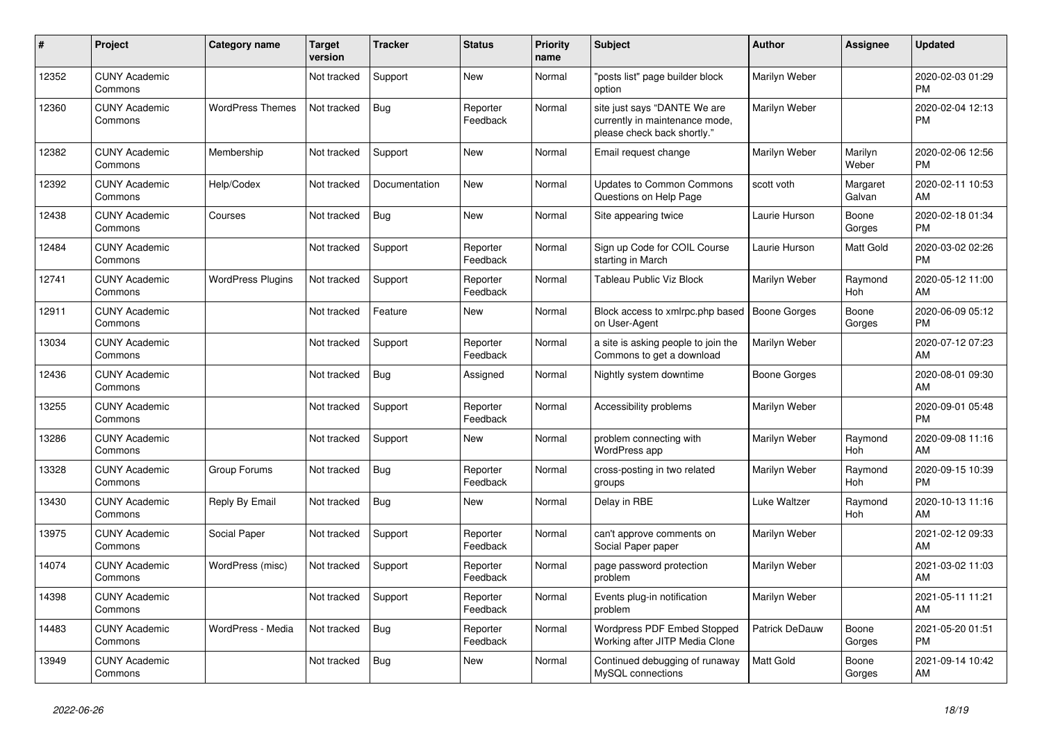| #     | Project                         | <b>Category name</b>     | Target<br>version | <b>Tracker</b> | <b>Status</b>        | <b>Priority</b><br>name | <b>Subject</b>                                                                                | <b>Author</b>         | <b>Assignee</b>       | <b>Updated</b>                |
|-------|---------------------------------|--------------------------|-------------------|----------------|----------------------|-------------------------|-----------------------------------------------------------------------------------------------|-----------------------|-----------------------|-------------------------------|
| 12352 | <b>CUNY Academic</b><br>Commons |                          | Not tracked       | Support        | <b>New</b>           | Normal                  | 'posts list" page builder block<br>option                                                     | Marilyn Weber         |                       | 2020-02-03 01:29<br><b>PM</b> |
| 12360 | <b>CUNY Academic</b><br>Commons | <b>WordPress Themes</b>  | Not tracked       | <b>Bug</b>     | Reporter<br>Feedback | Normal                  | site just says "DANTE We are<br>currently in maintenance mode,<br>please check back shortly." | Marilyn Weber         |                       | 2020-02-04 12:13<br><b>PM</b> |
| 12382 | <b>CUNY Academic</b><br>Commons | Membership               | Not tracked       | Support        | <b>New</b>           | Normal                  | Email request change                                                                          | Marilyn Weber         | Marilyn<br>Weber      | 2020-02-06 12:56<br><b>PM</b> |
| 12392 | <b>CUNY Academic</b><br>Commons | Help/Codex               | Not tracked       | Documentation  | New                  | Normal                  | <b>Updates to Common Commons</b><br>Questions on Help Page                                    | scott voth            | Margaret<br>Galvan    | 2020-02-11 10:53<br>AM        |
| 12438 | <b>CUNY Academic</b><br>Commons | Courses                  | Not tracked       | <b>Bug</b>     | <b>New</b>           | Normal                  | Site appearing twice                                                                          | Laurie Hurson         | Boone<br>Gorges       | 2020-02-18 01:34<br><b>PM</b> |
| 12484 | <b>CUNY Academic</b><br>Commons |                          | Not tracked       | Support        | Reporter<br>Feedback | Normal                  | Sign up Code for COIL Course<br>starting in March                                             | Laurie Hurson         | Matt Gold             | 2020-03-02 02:26<br><b>PM</b> |
| 12741 | <b>CUNY Academic</b><br>Commons | <b>WordPress Plugins</b> | Not tracked       | Support        | Reporter<br>Feedback | Normal                  | Tableau Public Viz Block                                                                      | Marilyn Weber         | Raymond<br>Hoh        | 2020-05-12 11:00<br>AM        |
| 12911 | <b>CUNY Academic</b><br>Commons |                          | Not tracked       | Feature        | <b>New</b>           | Normal                  | Block access to xmlrpc.php based<br>on User-Agent                                             | <b>Boone Gorges</b>   | Boone<br>Gorges       | 2020-06-09 05:12<br><b>PM</b> |
| 13034 | <b>CUNY Academic</b><br>Commons |                          | Not tracked       | Support        | Reporter<br>Feedback | Normal                  | a site is asking people to join the<br>Commons to get a download                              | Marilyn Weber         |                       | 2020-07-12 07:23<br>AM        |
| 12436 | <b>CUNY Academic</b><br>Commons |                          | Not tracked       | Bug            | Assigned             | Normal                  | Nightly system downtime                                                                       | <b>Boone Gorges</b>   |                       | 2020-08-01 09:30<br>AM        |
| 13255 | <b>CUNY Academic</b><br>Commons |                          | Not tracked       | Support        | Reporter<br>Feedback | Normal                  | Accessibility problems                                                                        | Marilyn Weber         |                       | 2020-09-01 05:48<br><b>PM</b> |
| 13286 | <b>CUNY Academic</b><br>Commons |                          | Not tracked       | Support        | <b>New</b>           | Normal                  | problem connecting with<br>WordPress app                                                      | Marilyn Weber         | Raymond<br><b>Hoh</b> | 2020-09-08 11:16<br>AM        |
| 13328 | <b>CUNY Academic</b><br>Commons | Group Forums             | Not tracked       | Bug            | Reporter<br>Feedback | Normal                  | cross-posting in two related<br>groups                                                        | Marilyn Weber         | Raymond<br>Hoh        | 2020-09-15 10:39<br><b>PM</b> |
| 13430 | <b>CUNY Academic</b><br>Commons | Reply By Email           | Not tracked       | Bug            | <b>New</b>           | Normal                  | Delay in RBE                                                                                  | Luke Waltzer          | Raymond<br>Hoh        | 2020-10-13 11:16<br>AM        |
| 13975 | <b>CUNY Academic</b><br>Commons | Social Paper             | Not tracked       | Support        | Reporter<br>Feedback | Normal                  | can't approve comments on<br>Social Paper paper                                               | Marilyn Weber         |                       | 2021-02-12 09:33<br>AM        |
| 14074 | <b>CUNY Academic</b><br>Commons | WordPress (misc)         | Not tracked       | Support        | Reporter<br>Feedback | Normal                  | page password protection<br>problem                                                           | Marilyn Weber         |                       | 2021-03-02 11:03<br>AM        |
| 14398 | <b>CUNY Academic</b><br>Commons |                          | Not tracked       | Support        | Reporter<br>Feedback | Normal                  | Events plug-in notification<br>problem                                                        | Marilyn Weber         |                       | 2021-05-11 11:21<br>AM        |
| 14483 | <b>CUNY Academic</b><br>Commons | WordPress - Media        | Not tracked       | <b>Bug</b>     | Reporter<br>Feedback | Normal                  | Wordpress PDF Embed Stopped<br>Working after JITP Media Clone                                 | <b>Patrick DeDauw</b> | Boone<br>Gorges       | 2021-05-20 01:51<br><b>PM</b> |
| 13949 | <b>CUNY Academic</b><br>Commons |                          | Not tracked       | Bug            | <b>New</b>           | Normal                  | Continued debugging of runaway<br>MySQL connections                                           | Matt Gold             | Boone<br>Gorges       | 2021-09-14 10:42<br>AM        |